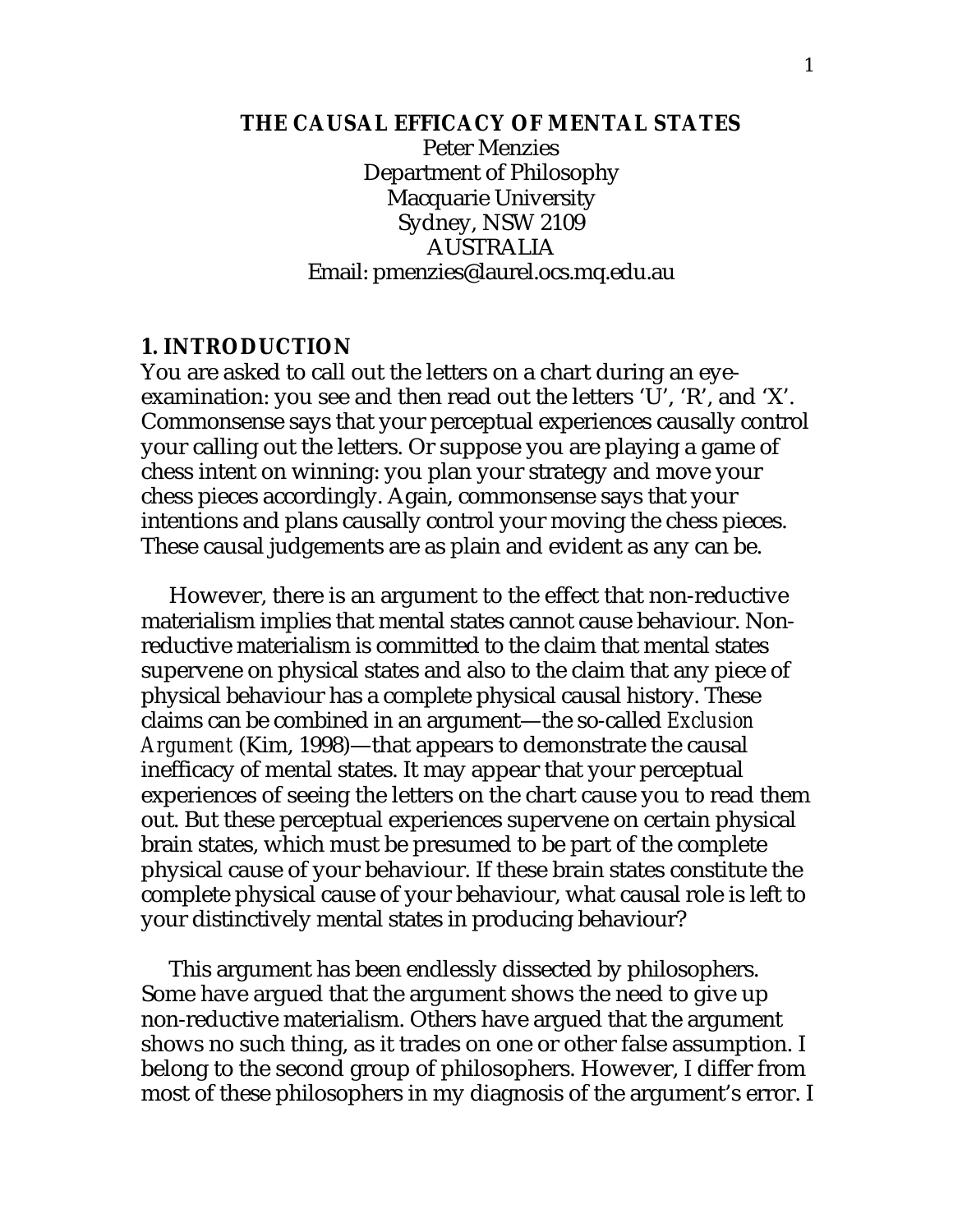# **THE CAUSAL EFFICACY OF MENTAL STATES** Peter Menzies Department of Philosophy Macquarie University Sydney, NSW 2109 AUSTRALIA Email: pmenzies@laurel.ocs.mq.edu.au

#### **1. INTRODUCTION**

You are asked to call out the letters on a chart during an eyeexamination: you see and then read out the letters 'U', 'R', and 'X'. Commonsense says that your perceptual experiences causally control your calling out the letters. Or suppose you are playing a game of chess intent on winning: you plan your strategy and move your chess pieces accordingly. Again, commonsense says that your intentions and plans causally control your moving the chess pieces. These causal judgements are as plain and evident as any can be.

However, there is an argument to the effect that non-reductive materialism implies that mental states cannot cause behaviour. Nonreductive materialism is committed to the claim that mental states supervene on physical states and also to the claim that any piece of physical behaviour has a complete physical causal history. These claims can be combined in an argument—the so-called *Exclusion Argument* (Kim, 1998)—that appears to demonstrate the causal inefficacy of mental states. It may appear that your perceptual experiences of seeing the letters on the chart cause you to read them out. But these perceptual experiences supervene on certain physical brain states, which must be presumed to be part of the complete physical cause of your behaviour. If these brain states constitute the complete physical cause of your behaviour, what causal role is left to your distinctively mental states in producing behaviour?

This argument has been endlessly dissected by philosophers. Some have argued that the argument shows the need to give up non-reductive materialism. Others have argued that the argument shows no such thing, as it trades on one or other false assumption. I belong to the second group of philosophers. However, I differ from most of these philosophers in my diagnosis of the argument's error. I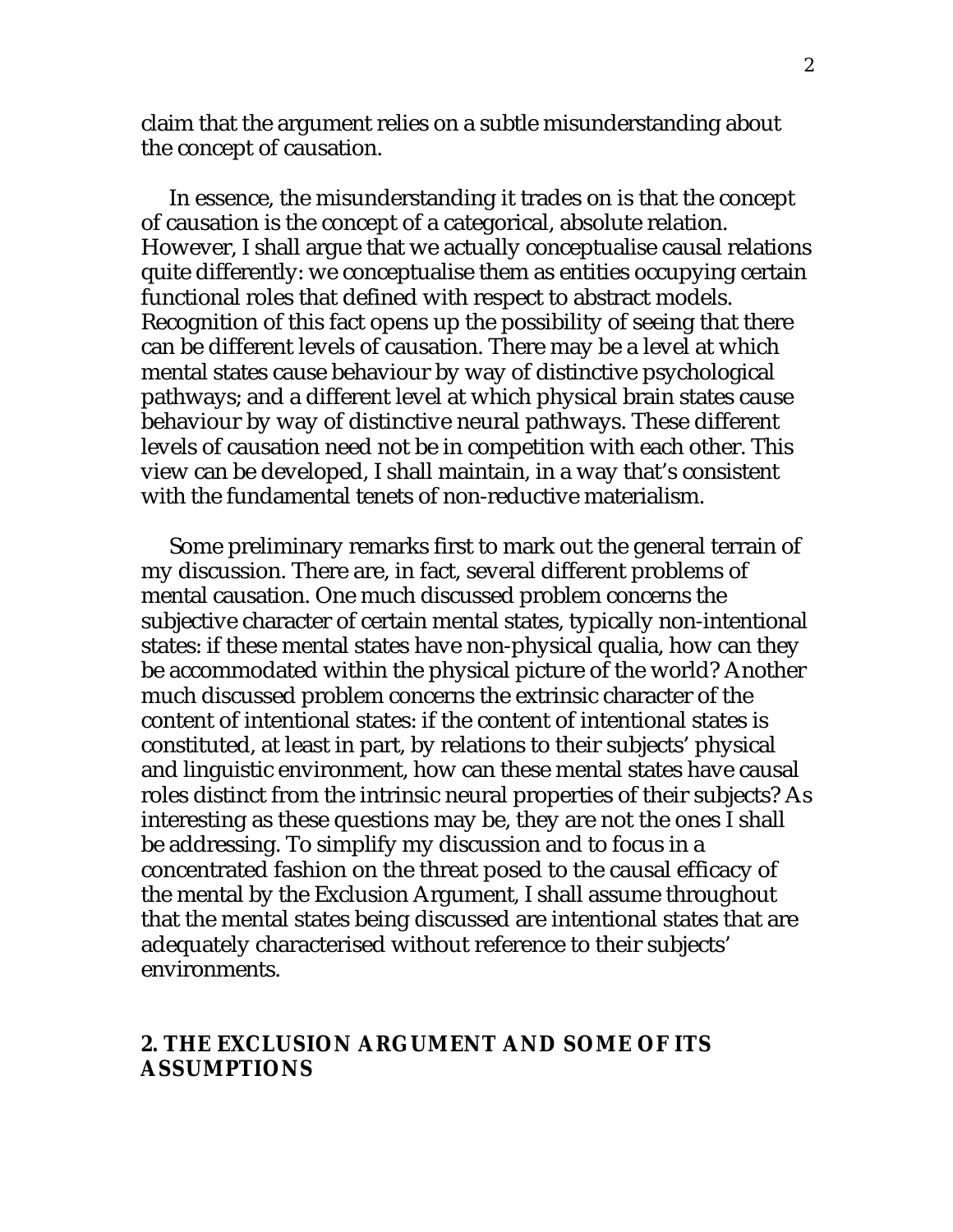claim that the argument relies on a subtle misunderstanding about the concept of causation.

In essence, the misunderstanding it trades on is that the concept of causation is the concept of a categorical, absolute relation. However, I shall argue that we actually conceptualise causal relations quite differently: we conceptualise them as entities occupying certain functional roles that defined with respect to abstract models. Recognition of this fact opens up the possibility of seeing that there can be different levels of causation. There may be a level at which mental states cause behaviour by way of distinctive psychological pathways; and a different level at which physical brain states cause behaviour by way of distinctive neural pathways. These different levels of causation need not be in competition with each other. This view can be developed, I shall maintain, in a way that's consistent with the fundamental tenets of non-reductive materialism.

Some preliminary remarks first to mark out the general terrain of my discussion. There are, in fact, several different problems of mental causation. One much discussed problem concerns the subjective character of certain mental states, typically non-intentional states: if these mental states have non-physical qualia, how can they be accommodated within the physical picture of the world? Another much discussed problem concerns the extrinsic character of the content of intentional states: if the content of intentional states is constituted, at least in part, by relations to their subjects' physical and linguistic environment, how can these mental states have causal roles distinct from the intrinsic neural properties of their subjects? As interesting as these questions may be, they are not the ones I shall be addressing. To simplify my discussion and to focus in a concentrated fashion on the threat posed to the causal efficacy of the mental by the Exclusion Argument, I shall assume throughout that the mental states being discussed are intentional states that are adequately characterised without reference to their subjects' environments.

## **2. THE EXCLUSION ARGUMENT AND SOME OF ITS ASSUMPTIONS**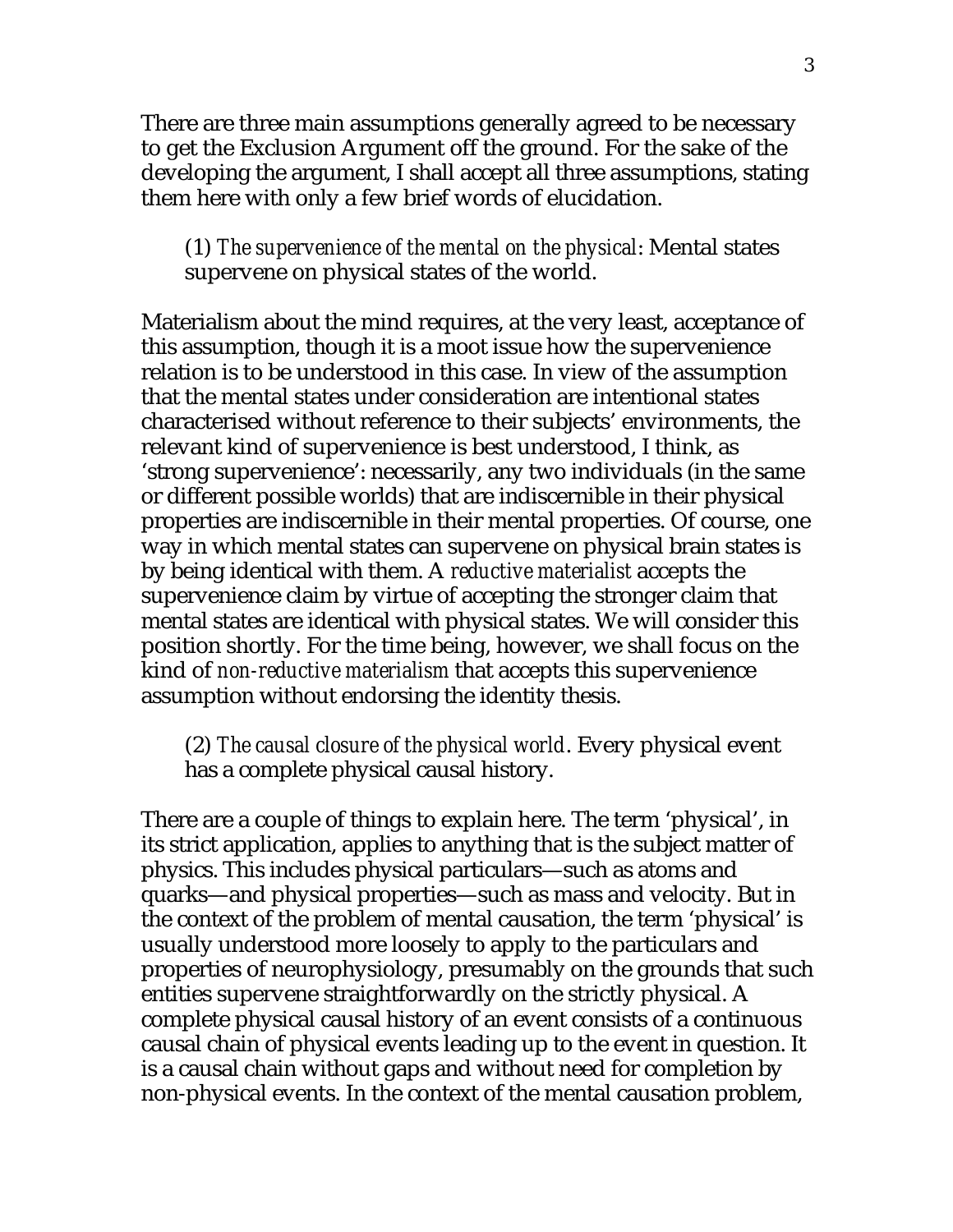There are three main assumptions generally agreed to be necessary to get the Exclusion Argument off the ground. For the sake of the developing the argument, I shall accept all three assumptions, stating them here with only a few brief words of elucidation.

(1) *The supervenience of the mental on the physical*: Mental states supervene on physical states of the world.

Materialism about the mind requires, at the very least, acceptance of this assumption, though it is a moot issue how the supervenience relation is to be understood in this case. In view of the assumption that the mental states under consideration are intentional states characterised without reference to their subjects' environments, the relevant kind of supervenience is best understood, I think, as 'strong supervenience': necessarily, any two individuals (in the same or different possible worlds) that are indiscernible in their physical properties are indiscernible in their mental properties. Of course, one way in which mental states can supervene on physical brain states is by being identical with them. A *reductive materialist* accepts the supervenience claim by virtue of accepting the stronger claim that mental states are identical with physical states. We will consider this position shortly. For the time being, however, we shall focus on the kind of *non-reductive materialism* that accepts this supervenience assumption without endorsing the identity thesis.

(2) *The causal closure of the physical world*. Every physical event has a complete physical causal history.

There are a couple of things to explain here. The term 'physical', in its strict application, applies to anything that is the subject matter of physics. This includes physical particulars—such as atoms and quarks—and physical properties—such as mass and velocity. But in the context of the problem of mental causation, the term 'physical' is usually understood more loosely to apply to the particulars and properties of neurophysiology, presumably on the grounds that such entities supervene straightforwardly on the strictly physical. A complete physical causal history of an event consists of a continuous causal chain of physical events leading up to the event in question. It is a causal chain without gaps and without need for completion by non-physical events. In the context of the mental causation problem,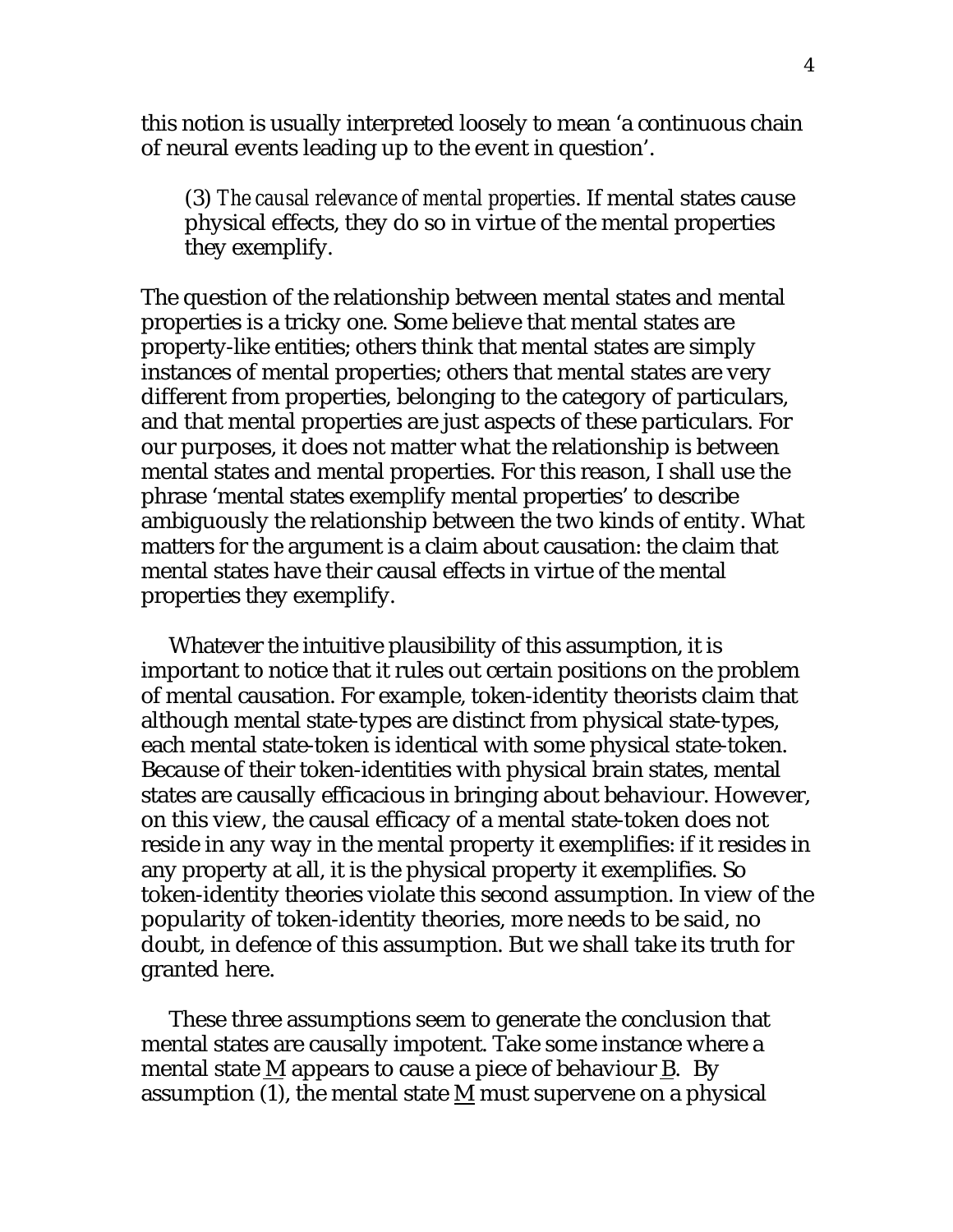this notion is usually interpreted loosely to mean 'a continuous chain of neural events leading up to the event in question'.

(3) *The causal relevance of mental properties*. If mental states cause physical effects, they do so in virtue of the mental properties they exemplify.

The question of the relationship between mental states and mental properties is a tricky one. Some believe that mental states are property-like entities; others think that mental states are simply instances of mental properties; others that mental states are very different from properties, belonging to the category of particulars, and that mental properties are just aspects of these particulars. For our purposes, it does not matter what the relationship is between mental states and mental properties. For this reason, I shall use the phrase 'mental states exemplify mental properties' to describe ambiguously the relationship between the two kinds of entity. What matters for the argument is a claim about causation: the claim that mental states have their causal effects in virtue of the mental properties they exemplify.

Whatever the intuitive plausibility of this assumption, it is important to notice that it rules out certain positions on the problem of mental causation. For example, token-identity theorists claim that although mental state-types are distinct from physical state-types, each mental state-token is identical with some physical state-token. Because of their token-identities with physical brain states, mental states are causally efficacious in bringing about behaviour. However, on this view, the causal efficacy of a mental state-token does not reside in any way in the mental property it exemplifies: if it resides in any property at all, it is the physical property it exemplifies. So token-identity theories violate this second assumption. In view of the popularity of token-identity theories, more needs to be said, no doubt, in defence of this assumption. But we shall take its truth for granted here.

These three assumptions seem to generate the conclusion that mental states are causally impotent. Take some instance where a mental state  $\underline{M}$  appears to cause a piece of behaviour  $\underline{B}$ . By assumption (1), the mental state  $\underline{M}$  must supervene on a physical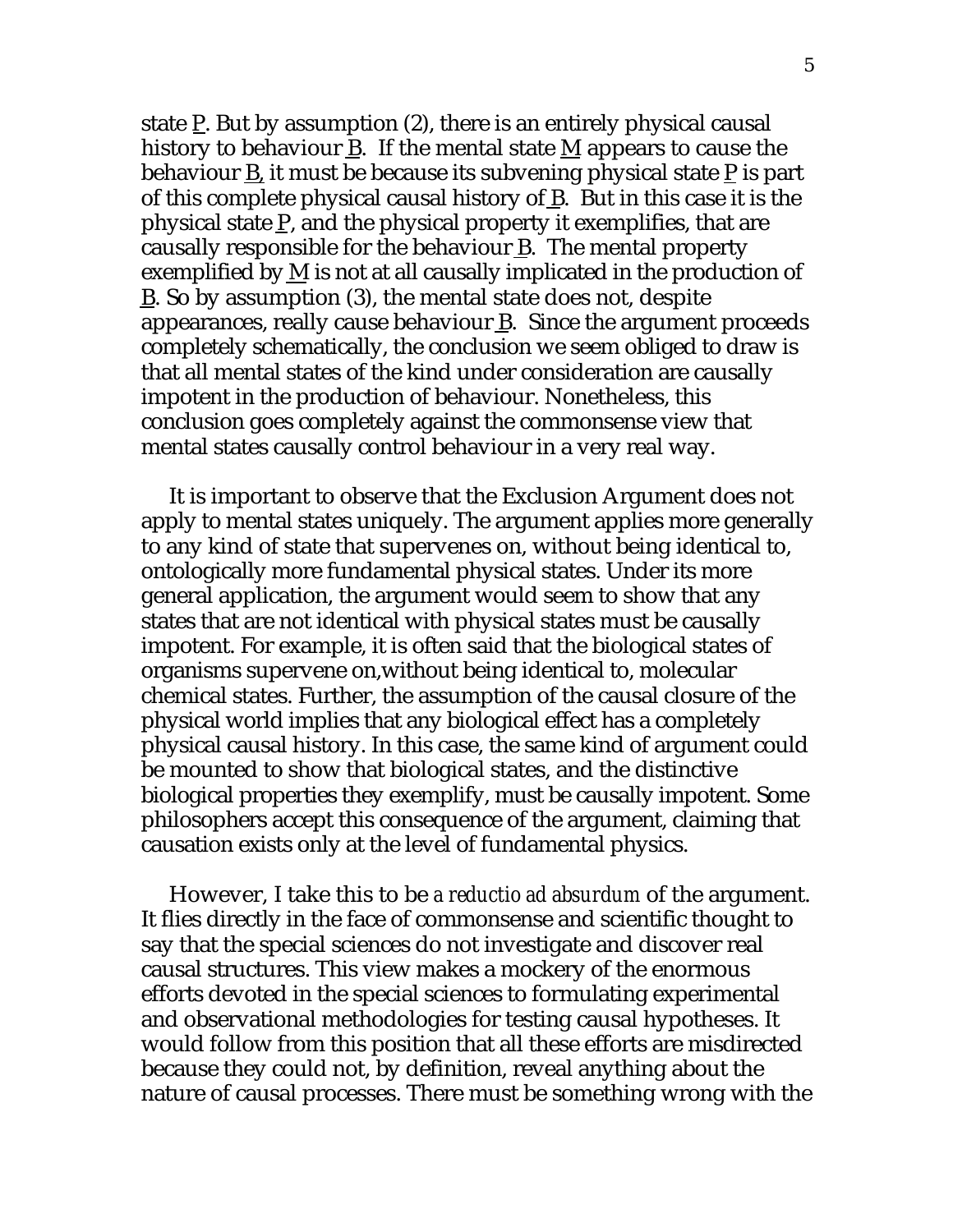state  $\underline{P}$ . But by assumption (2), there is an entirely physical causal history to behaviour  $\underline{B}$ . If the mental state  $\underline{M}$  appears to cause the behaviour B, it must be because its subvening physical state P is part of this complete physical causal history of B. But in this case it is the physical state  $\underline{P}$ , and the physical property it exemplifies, that are causally responsible for the behaviour B. The mental property exemplified by  $\underline{M}$  is not at all causally implicated in the production of B. So by assumption (3), the mental state does not, despite appearances, really cause behaviour  $\underline{B}$ . Since the argument proceeds completely schematically, the conclusion we seem obliged to draw is that all mental states of the kind under consideration are causally impotent in the production of behaviour. Nonetheless, this conclusion goes completely against the commonsense view that mental states causally control behaviour in a very real way.

It is important to observe that the Exclusion Argument does not apply to mental states uniquely. The argument applies more generally to any kind of state that supervenes on, without being identical to, ontologically more fundamental physical states. Under its more general application, the argument would seem to show that any states that are not identical with physical states must be causally impotent. For example, it is often said that the biological states of organisms supervene on,without being identical to, molecular chemical states. Further, the assumption of the causal closure of the physical world implies that any biological effect has a completely physical causal history. In this case, the same kind of argument could be mounted to show that biological states, and the distinctive biological properties they exemplify, must be causally impotent. Some philosophers accept this consequence of the argument, claiming that causation exists only at the level of fundamental physics.

However, I take this to be *a reductio ad absurdum* of the argument. It flies directly in the face of commonsense and scientific thought to say that the special sciences do not investigate and discover real causal structures. This view makes a mockery of the enormous efforts devoted in the special sciences to formulating experimental and observational methodologies for testing causal hypotheses. It would follow from this position that all these efforts are misdirected because they could not, by definition, reveal anything about the nature of causal processes. There must be something wrong with the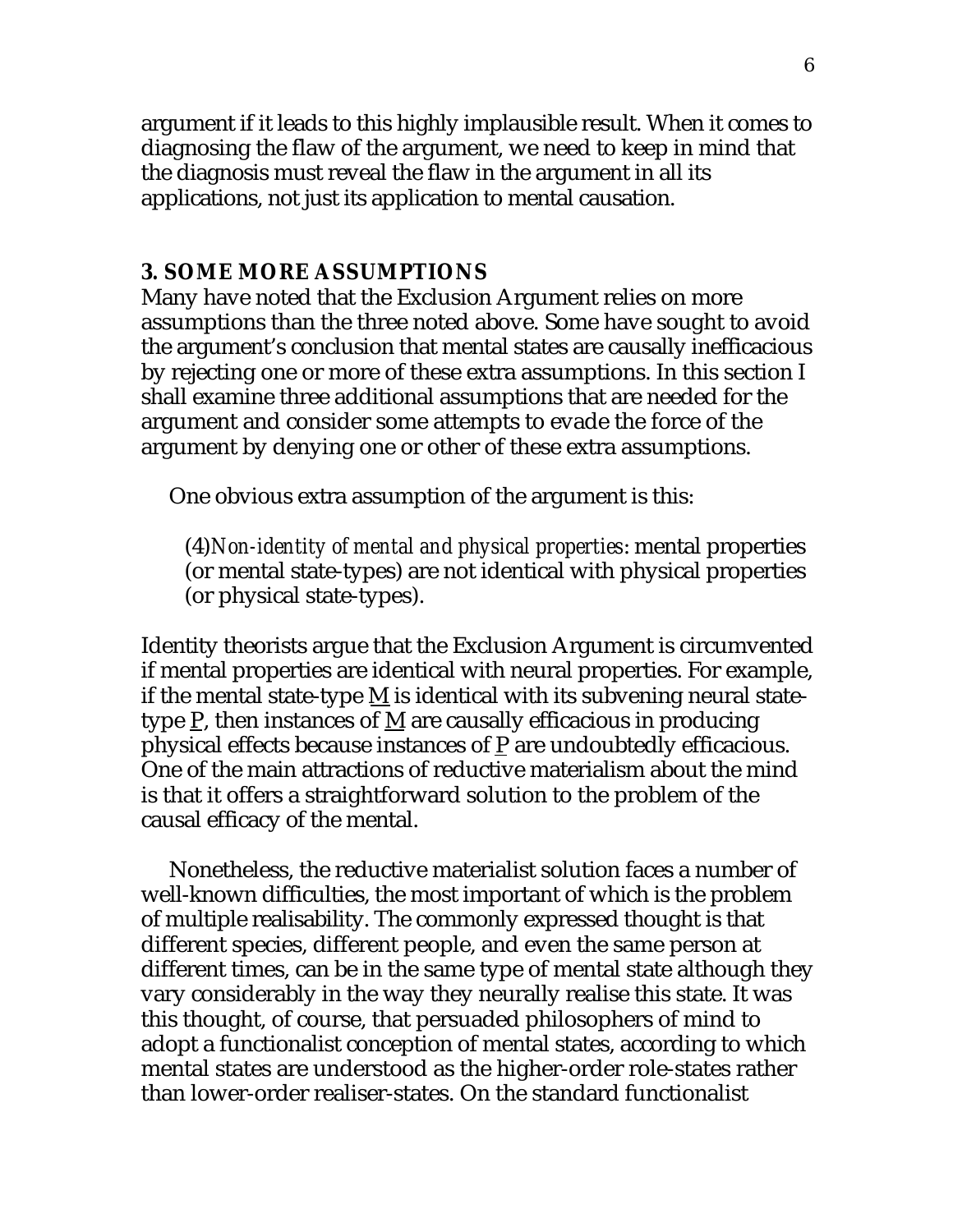argument if it leads to this highly implausible result. When it comes to diagnosing the flaw of the argument, we need to keep in mind that the diagnosis must reveal the flaw in the argument in all its applications, not just its application to mental causation.

#### **3. SOME MORE ASSUMPTIONS**

Many have noted that the Exclusion Argument relies on more assumptions than the three noted above. Some have sought to avoid the argument's conclusion that mental states are causally inefficacious by rejecting one or more of these extra assumptions. In this section I shall examine three additional assumptions that are needed for the argument and consider some attempts to evade the force of the argument by denying one or other of these extra assumptions.

One obvious extra assumption of the argument is this:

(4)*Non-identity of mental and physical properties*: mental properties (or mental state-types) are not identical with physical properties (or physical state-types).

Identity theorists argue that the Exclusion Argument is circumvented if mental properties are identical with neural properties. For example, if the mental state-type  $M$  is identical with its subvening neural statetype  $\underline{P}$ , then instances of  $\underline{M}$  are causally efficacious in producing physical effects because instances of  $\underline{P}$  are undoubtedly efficacious. One of the main attractions of reductive materialism about the mind is that it offers a straightforward solution to the problem of the causal efficacy of the mental.

Nonetheless, the reductive materialist solution faces a number of well-known difficulties, the most important of which is the problem of multiple realisability. The commonly expressed thought is that different species, different people, and even the same person at different times, can be in the same type of mental state although they vary considerably in the way they neurally realise this state. It was this thought, of course, that persuaded philosophers of mind to adopt a functionalist conception of mental states, according to which mental states are understood as the higher-order role-states rather than lower-order realiser-states. On the standard functionalist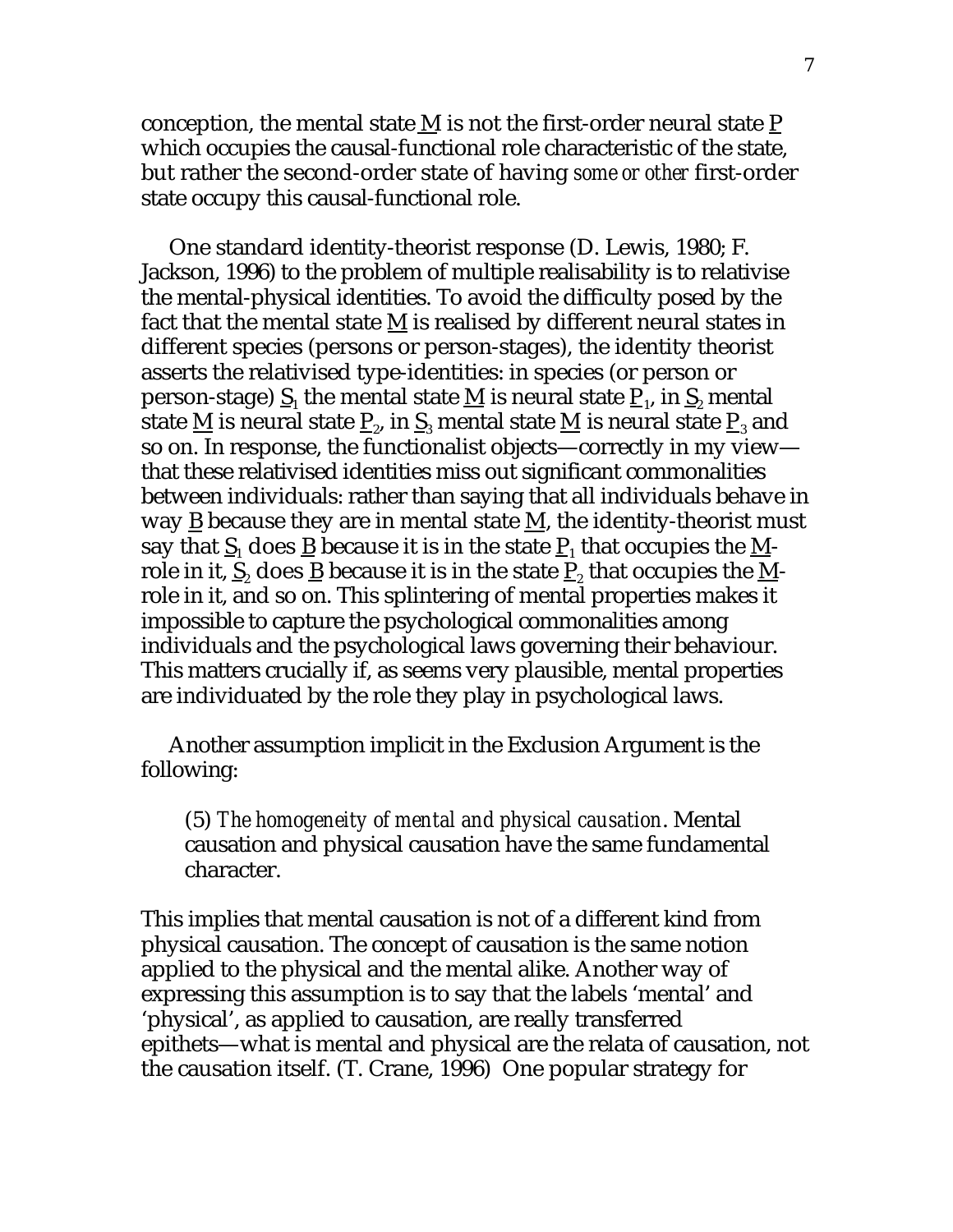conception, the mental state  $\underline{M}$  is not the first-order neural state  $\underline{P}$ which occupies the causal-functional role characteristic of the state, but rather the second-order state of having *some or other* first-order state occupy this causal-functional role.

One standard identity-theorist response (D. Lewis, 1980; F. Jackson, 1996) to the problem of multiple realisability is to relativise the mental-physical identities. To avoid the difficulty posed by the fact that the mental state  $M$  is realised by different neural states in different species (persons or person-stages), the identity theorist asserts the relativised type-identities: in species (or person or person-stage)  $\underline{\mathbf{S}}_1$  the mental state  $\underline{\mathbf{M}}$  is neural state  $\underline{\mathbf{P}}_1$ , in  $\underline{\mathbf{S}}_2$  mental state <u>M</u> is neural state <u>P<sub>2</sub>, in S<sub>3</sub> mental state <u>M</u> is neural state <u>P<sub>3</sub></u> and</u> so on. In response, the functionalist objects—correctly in my view that these relativised identities miss out significant commonalities between individuals: rather than saying that all individuals behave in way  $\underline{B}$  because they are in mental state  $\underline{M}$ , the identity-theorist must say that  $\underline{\mathbf{S}}_1$  does  $\underline{\mathbf{B}}$  because it is in the state  $\underline{\mathbf{P}}_1$  that occupies the  $\underline{\mathbf{M}}$ role in it,  $\underline{\mathbf{S}}_2$  does  $\underline{\mathbf{B}}$  because it is in the state  $\underline{\mathbf{P}}_2$  that occupies the  $\underline{\mathbf{M}}$ role in it, and so on. This splintering of mental properties makes it impossible to capture the psychological commonalities among individuals and the psychological laws governing their behaviour. This matters crucially if, as seems very plausible, mental properties are individuated by the role they play in psychological laws.

Another assumption implicit in the Exclusion Argument is the following:

(5) *The homogeneity of mental and physical causation*. Mental causation and physical causation have the same fundamental character.

This implies that mental causation is not of a different kind from physical causation. The concept of causation is the same notion applied to the physical and the mental alike. Another way of expressing this assumption is to say that the labels 'mental' and 'physical', as applied to causation, are really transferred epithets—what is mental and physical are the relata of causation, not the causation itself. (T. Crane, 1996) One popular strategy for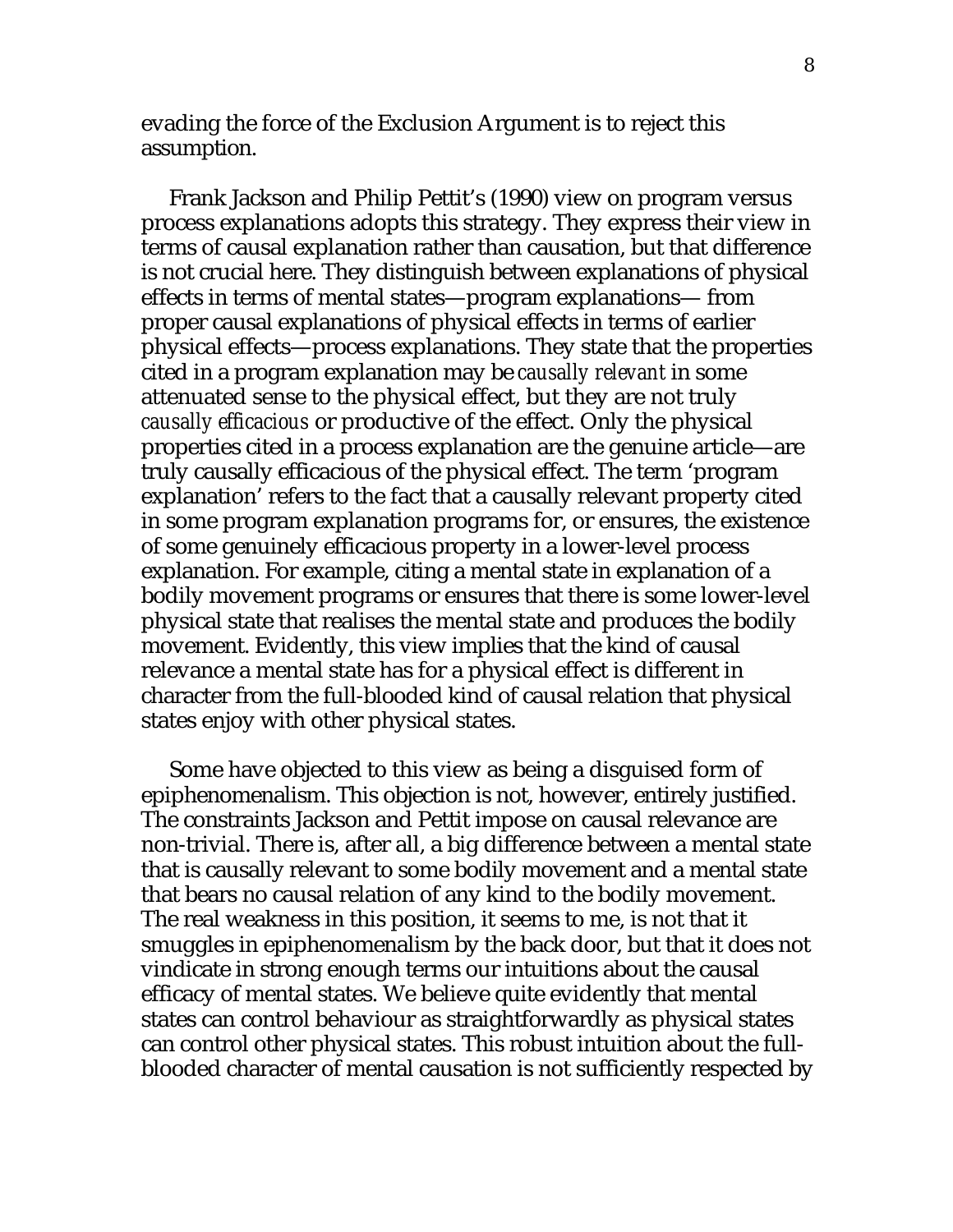evading the force of the Exclusion Argument is to reject this assumption.

Frank Jackson and Philip Pettit's (1990) view on program versus process explanations adopts this strategy. They express their view in terms of causal explanation rather than causation, but that difference is not crucial here. They distinguish between explanations of physical effects in terms of mental states—program explanations— from proper causal explanations of physical effects in terms of earlier physical effects—process explanations. They state that the properties cited in a program explanation may be *causally relevant* in some attenuated sense to the physical effect, but they are not truly *causally efficacious* or productive of the effect. Only the physical properties cited in a process explanation are the genuine article—are truly causally efficacious of the physical effect. The term 'program explanation' refers to the fact that a causally relevant property cited in some program explanation programs for, or ensures, the existence of some genuinely efficacious property in a lower-level process explanation. For example, citing a mental state in explanation of a bodily movement programs or ensures that there is some lower-level physical state that realises the mental state and produces the bodily movement. Evidently, this view implies that the kind of causal relevance a mental state has for a physical effect is different in character from the full-blooded kind of causal relation that physical states enjoy with other physical states.

Some have objected to this view as being a disguised form of epiphenomenalism. This objection is not, however, entirely justified. The constraints Jackson and Pettit impose on causal relevance are non-trivial. There is, after all, a big difference between a mental state that is causally relevant to some bodily movement and a mental state that bears no causal relation of any kind to the bodily movement. The real weakness in this position, it seems to me, is not that it smuggles in epiphenomenalism by the back door, but that it does not vindicate in strong enough terms our intuitions about the causal efficacy of mental states. We believe quite evidently that mental states can control behaviour as straightforwardly as physical states can control other physical states. This robust intuition about the fullblooded character of mental causation is not sufficiently respected by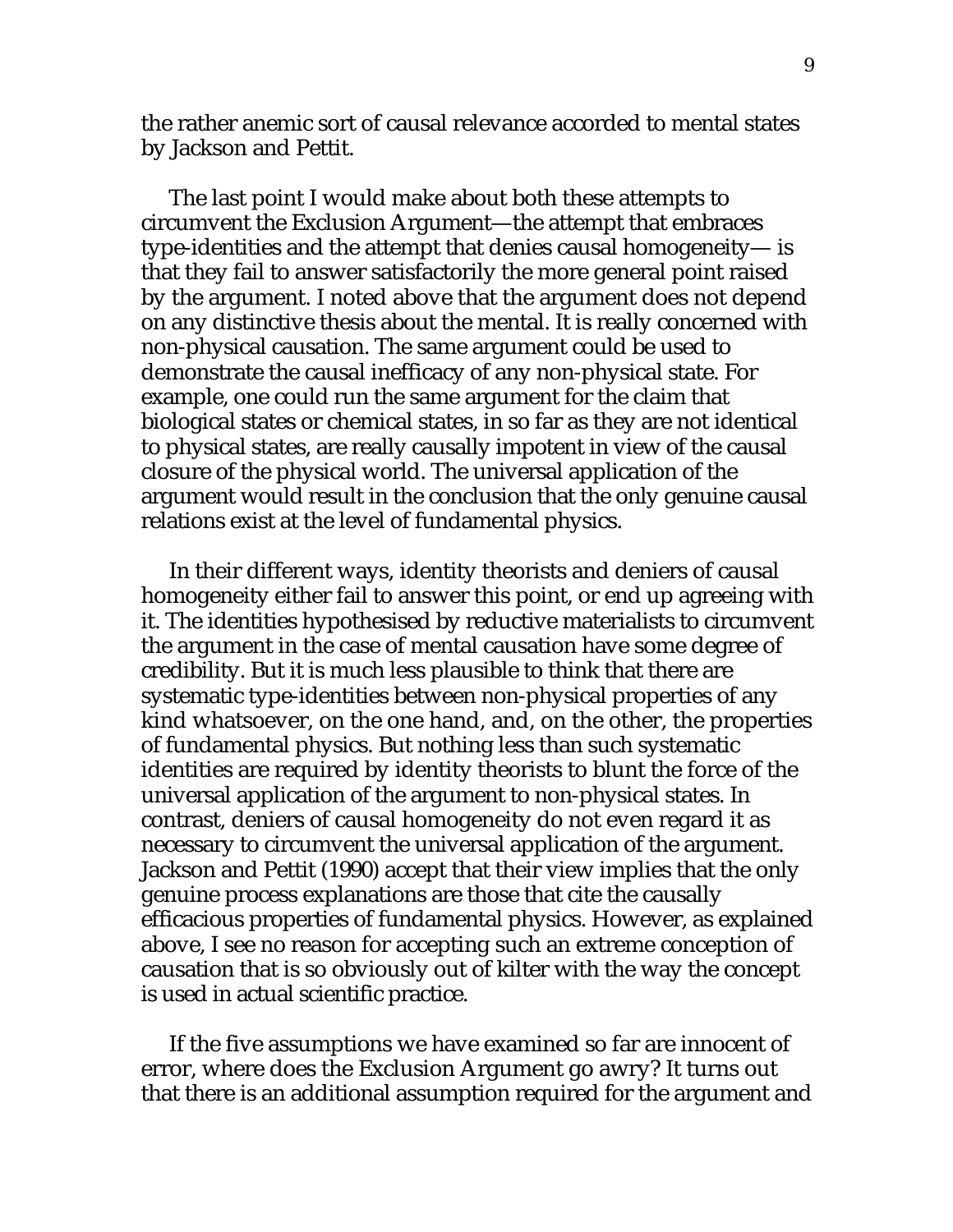the rather anemic sort of causal relevance accorded to mental states by Jackson and Pettit.

The last point I would make about both these attempts to circumvent the Exclusion Argument—the attempt that embraces type-identities and the attempt that denies causal homogeneity— is that they fail to answer satisfactorily the more general point raised by the argument. I noted above that the argument does not depend on any distinctive thesis about the mental. It is really concerned with non-physical causation. The same argument could be used to demonstrate the causal inefficacy of any non-physical state. For example, one could run the same argument for the claim that biological states or chemical states, in so far as they are not identical to physical states, are really causally impotent in view of the causal closure of the physical world. The universal application of the argument would result in the conclusion that the only genuine causal relations exist at the level of fundamental physics.

In their different ways, identity theorists and deniers of causal homogeneity either fail to answer this point, or end up agreeing with it. The identities hypothesised by reductive materialists to circumvent the argument in the case of mental causation have some degree of credibility. But it is much less plausible to think that there are systematic type-identities between non-physical properties of any kind whatsoever, on the one hand, and, on the other, the properties of fundamental physics. But nothing less than such systematic identities are required by identity theorists to blunt the force of the universal application of the argument to non-physical states. In contrast, deniers of causal homogeneity do not even regard it as necessary to circumvent the universal application of the argument. Jackson and Pettit (1990) accept that their view implies that the only genuine process explanations are those that cite the causally efficacious properties of fundamental physics. However, as explained above, I see no reason for accepting such an extreme conception of causation that is so obviously out of kilter with the way the concept is used in actual scientific practice.

If the five assumptions we have examined so far are innocent of error, where does the Exclusion Argument go awry? It turns out that there is an additional assumption required for the argument and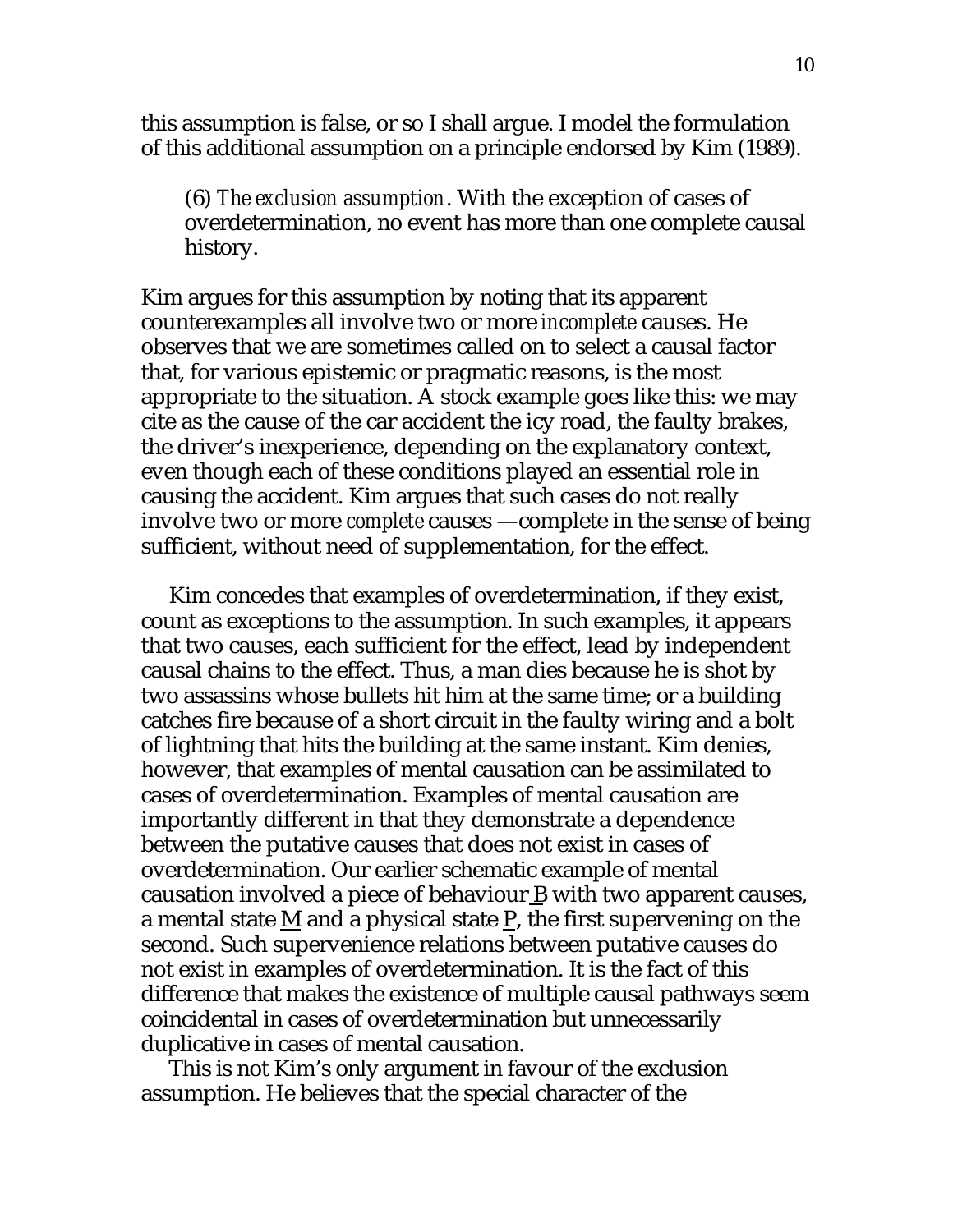this assumption is false, or so I shall argue. I model the formulation of this additional assumption on a principle endorsed by Kim (1989).

(6) *The exclusion assumption*. With the exception of cases of overdetermination, no event has more than one complete causal history.

Kim argues for this assumption by noting that its apparent counterexamples all involve two or more *incomplete* causes. He observes that we are sometimes called on to select a causal factor that, for various epistemic or pragmatic reasons, is the most appropriate to the situation. A stock example goes like this: we may cite as the cause of the car accident the icy road, the faulty brakes, the driver's inexperience, depending on the explanatory context, even though each of these conditions played an essential role in causing the accident. Kim argues that such cases do not really involve two or more *complete* causes —complete in the sense of being sufficient, without need of supplementation, for the effect.

Kim concedes that examples of overdetermination, if they exist, count as exceptions to the assumption. In such examples, it appears that two causes, each sufficient for the effect, lead by independent causal chains to the effect. Thus, a man dies because he is shot by two assassins whose bullets hit him at the same time; or a building catches fire because of a short circuit in the faulty wiring and a bolt of lightning that hits the building at the same instant. Kim denies, however, that examples of mental causation can be assimilated to cases of overdetermination. Examples of mental causation are importantly different in that they demonstrate a dependence between the putative causes that does not exist in cases of overdetermination. Our earlier schematic example of mental causation involved a piece of behaviour  $\underline{B}$  with two apparent causes, a mental state  $\underline{M}$  and a physical state  $\underline{P}$ , the first supervening on the second. Such supervenience relations between putative causes do not exist in examples of overdetermination. It is the fact of this difference that makes the existence of multiple causal pathways seem coincidental in cases of overdetermination but unnecessarily duplicative in cases of mental causation.

This is not Kim's only argument in favour of the exclusion assumption. He believes that the special character of the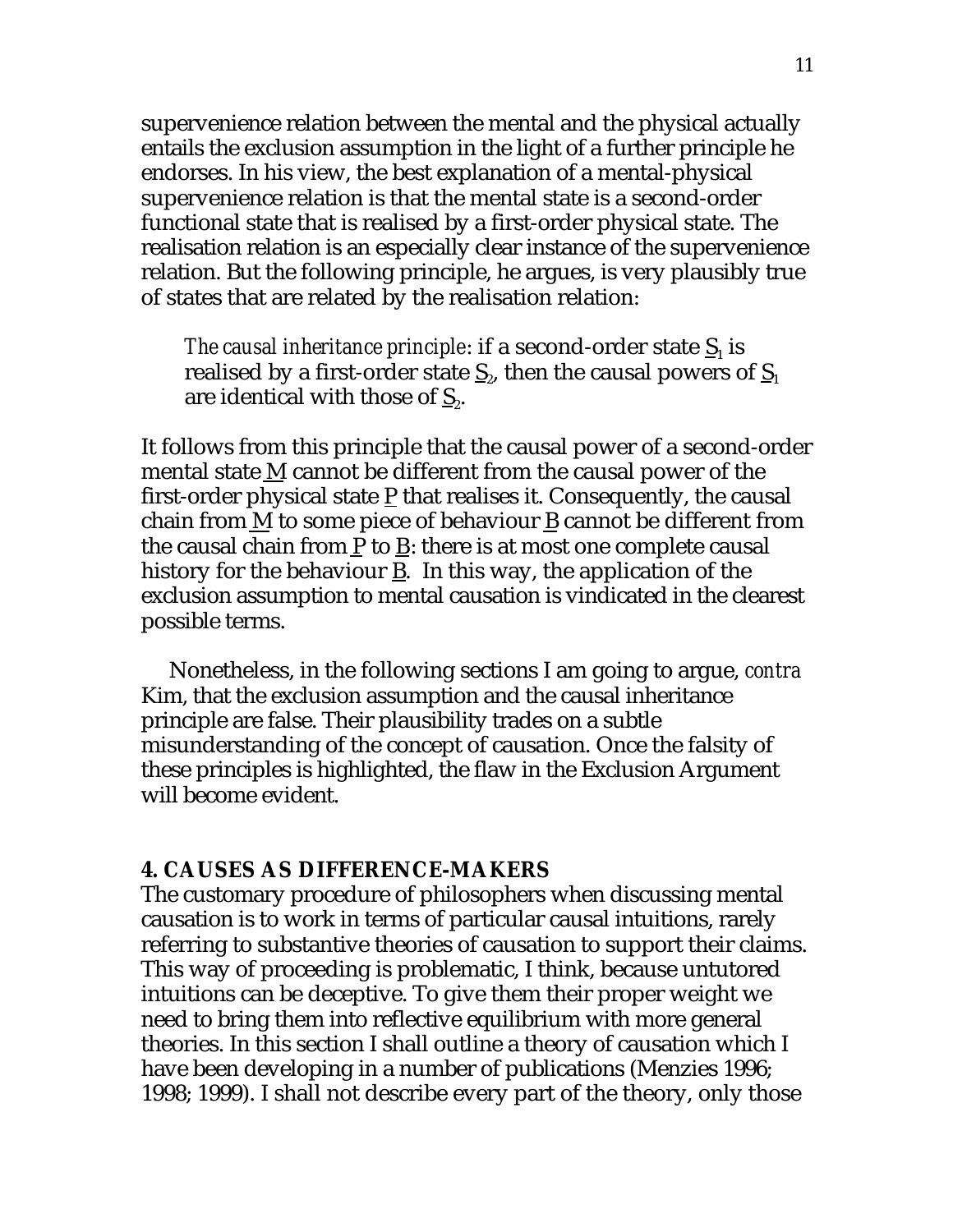supervenience relation between the mental and the physical actually entails the exclusion assumption in the light of a further principle he endorses. In his view, the best explanation of a mental-physical supervenience relation is that the mental state is a second-order functional state that is realised by a first-order physical state. The realisation relation is an especially clear instance of the supervenience relation. But the following principle, he argues, is very plausibly true of states that are related by the realisation relation:

The causal inheritance principle: **if a second-order state**  $\underline{S}_1$  **is** realised by a first-order state  $\underline{\mathbf{S}}_2$ , then the causal powers of  $\underline{\mathbf{S}}_1$ are identical with those of <u>S</u><sub>2</sub>.

It follows from this principle that the causal power of a second-order mental state M cannot be different from the causal power of the first-order physical state  $\underline{P}$  that realises it. Consequently, the causal chain from  $M$  to some piece of behaviour  $\underline{B}$  cannot be different from the causal chain from P to B: there is at most one complete causal history for the behaviour  $\underline{B}$ . In this way, the application of the exclusion assumption to mental causation is vindicated in the clearest possible terms.

Nonetheless, in the following sections I am going to argue, *contra* Kim, that the exclusion assumption and the causal inheritance principle are false. Their plausibility trades on a subtle misunderstanding of the concept of causation. Once the falsity of these principles is highlighted, the flaw in the Exclusion Argument will become evident.

#### **4. CAUSES AS DIFFERENCE-MAKERS**

The customary procedure of philosophers when discussing mental causation is to work in terms of particular causal intuitions, rarely referring to substantive theories of causation to support their claims. This way of proceeding is problematic, I think, because untutored intuitions can be deceptive. To give them their proper weight we need to bring them into reflective equilibrium with more general theories. In this section I shall outline a theory of causation which I have been developing in a number of publications (Menzies 1996; 1998; 1999). I shall not describe every part of the theory, only those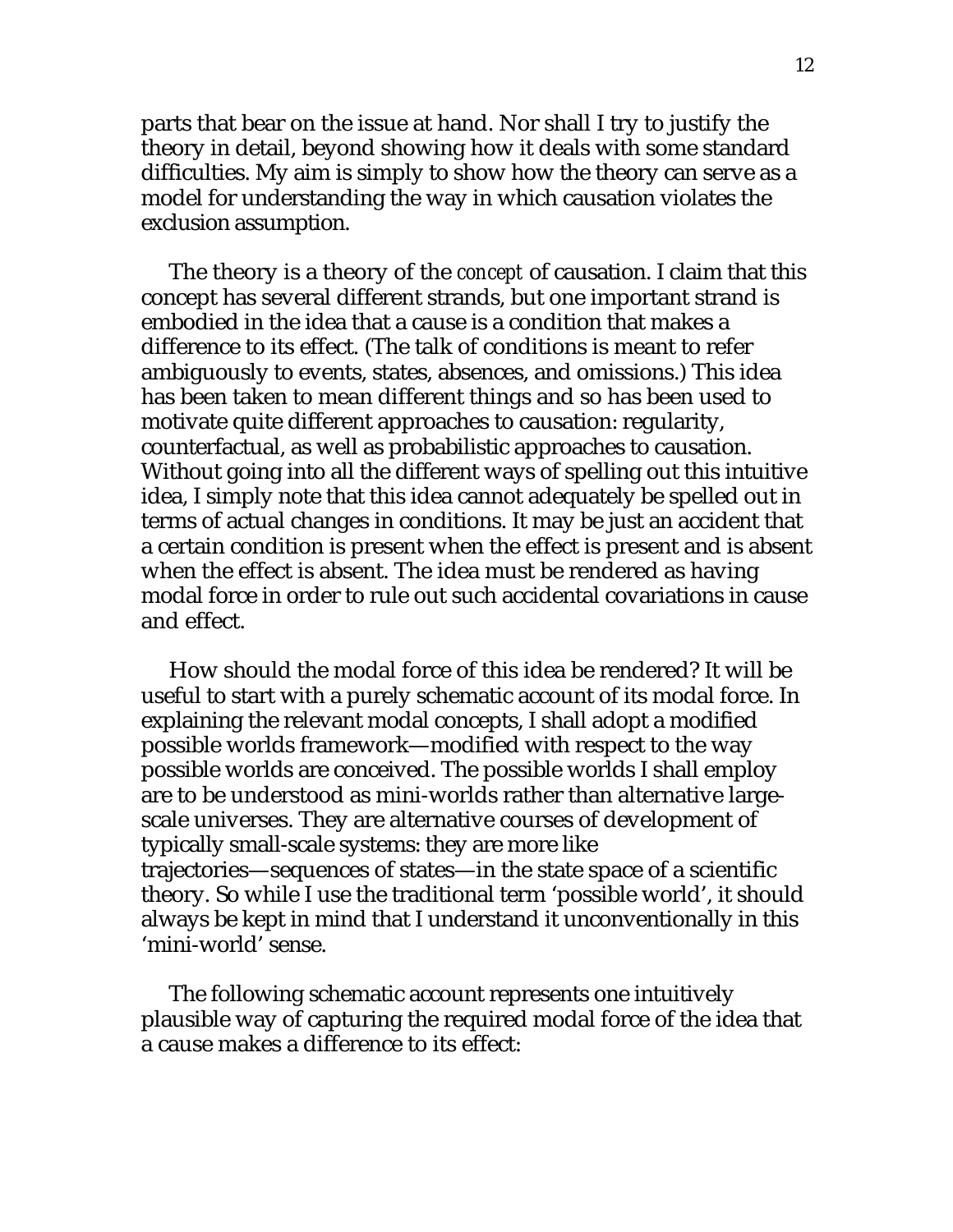parts that bear on the issue at hand. Nor shall I try to justify the theory in detail, beyond showing how it deals with some standard difficulties. My aim is simply to show how the theory can serve as a model for understanding the way in which causation violates the exclusion assumption.

The theory is a theory of the *concept* of causation. I claim that this concept has several different strands, but one important strand is embodied in the idea that a cause is a condition that makes a difference to its effect. (The talk of conditions is meant to refer ambiguously to events, states, absences, and omissions.) This idea has been taken to mean different things and so has been used to motivate quite different approaches to causation: regularity, counterfactual, as well as probabilistic approaches to causation. Without going into all the different ways of spelling out this intuitive idea, I simply note that this idea cannot adequately be spelled out in terms of actual changes in conditions. It may be just an accident that a certain condition is present when the effect is present and is absent when the effect is absent. The idea must be rendered as having modal force in order to rule out such accidental covariations in cause and effect.

How should the modal force of this idea be rendered? It will be useful to start with a purely schematic account of its modal force. In explaining the relevant modal concepts, I shall adopt a modified possible worlds framework—modified with respect to the way possible worlds are conceived. The possible worlds I shall employ are to be understood as mini-worlds rather than alternative largescale universes. They are alternative courses of development of typically small-scale systems: they are more like trajectories—sequences of states—in the state space of a scientific theory. So while I use the traditional term 'possible world', it should always be kept in mind that I understand it unconventionally in this 'mini-world' sense.

The following schematic account represents one intuitively plausible way of capturing the required modal force of the idea that a cause makes a difference to its effect: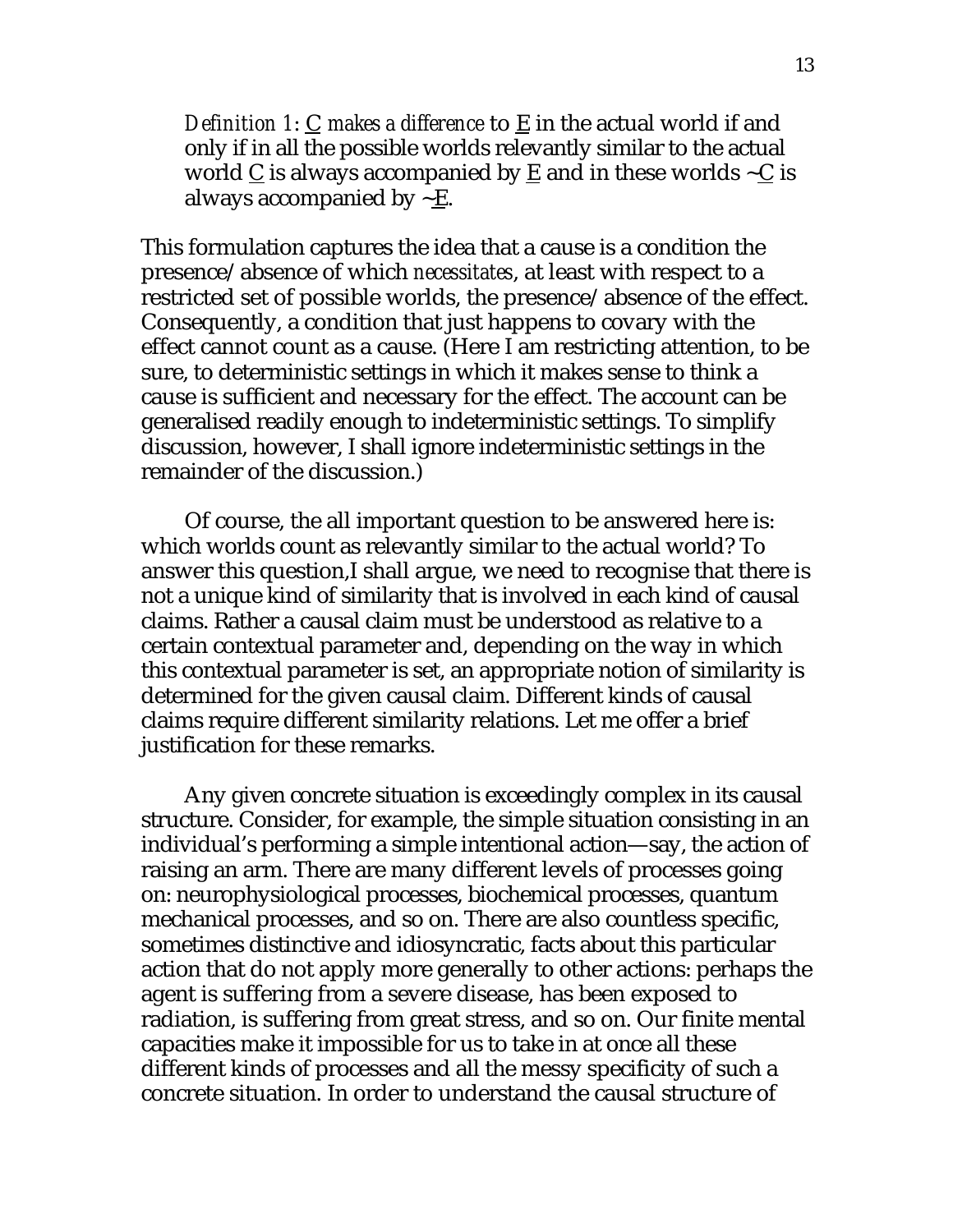*Definition 1:*  $C$  *makes a difference* to  $E$  *in the actual world if and* only if in all the possible worlds relevantly similar to the actual world  $\underline{C}$  is always accompanied by  $\underline{E}$  and in these worlds  $\sim\underline{C}$  is always accompanied by  $\sim \underline{E}$ .

This formulation captures the idea that a cause is a condition the presence/absence of which *necessitates*, at least with respect to a restricted set of possible worlds, the presence/absence of the effect. Consequently, a condition that just happens to covary with the effect cannot count as a cause. (Here I am restricting attention, to be sure, to deterministic settings in which it makes sense to think a cause is sufficient and necessary for the effect. The account can be generalised readily enough to indeterministic settings. To simplify discussion, however, I shall ignore indeterministic settings in the remainder of the discussion.)

Of course, the all important question to be answered here is: which worlds count as relevantly similar to the actual world? To answer this question,I shall argue, we need to recognise that there is not a unique kind of similarity that is involved in each kind of causal claims. Rather a causal claim must be understood as relative to a certain contextual parameter and, depending on the way in which this contextual parameter is set, an appropriate notion of similarity is determined for the given causal claim. Different kinds of causal claims require different similarity relations. Let me offer a brief justification for these remarks.

Any given concrete situation is exceedingly complex in its causal structure. Consider, for example, the simple situation consisting in an individual's performing a simple intentional action—say, the action of raising an arm. There are many different levels of processes going on: neurophysiological processes, biochemical processes, quantum mechanical processes, and so on. There are also countless specific, sometimes distinctive and idiosyncratic, facts about this particular action that do not apply more generally to other actions: perhaps the agent is suffering from a severe disease, has been exposed to radiation, is suffering from great stress, and so on. Our finite mental capacities make it impossible for us to take in at once all these different kinds of processes and all the messy specificity of such a concrete situation. In order to understand the causal structure of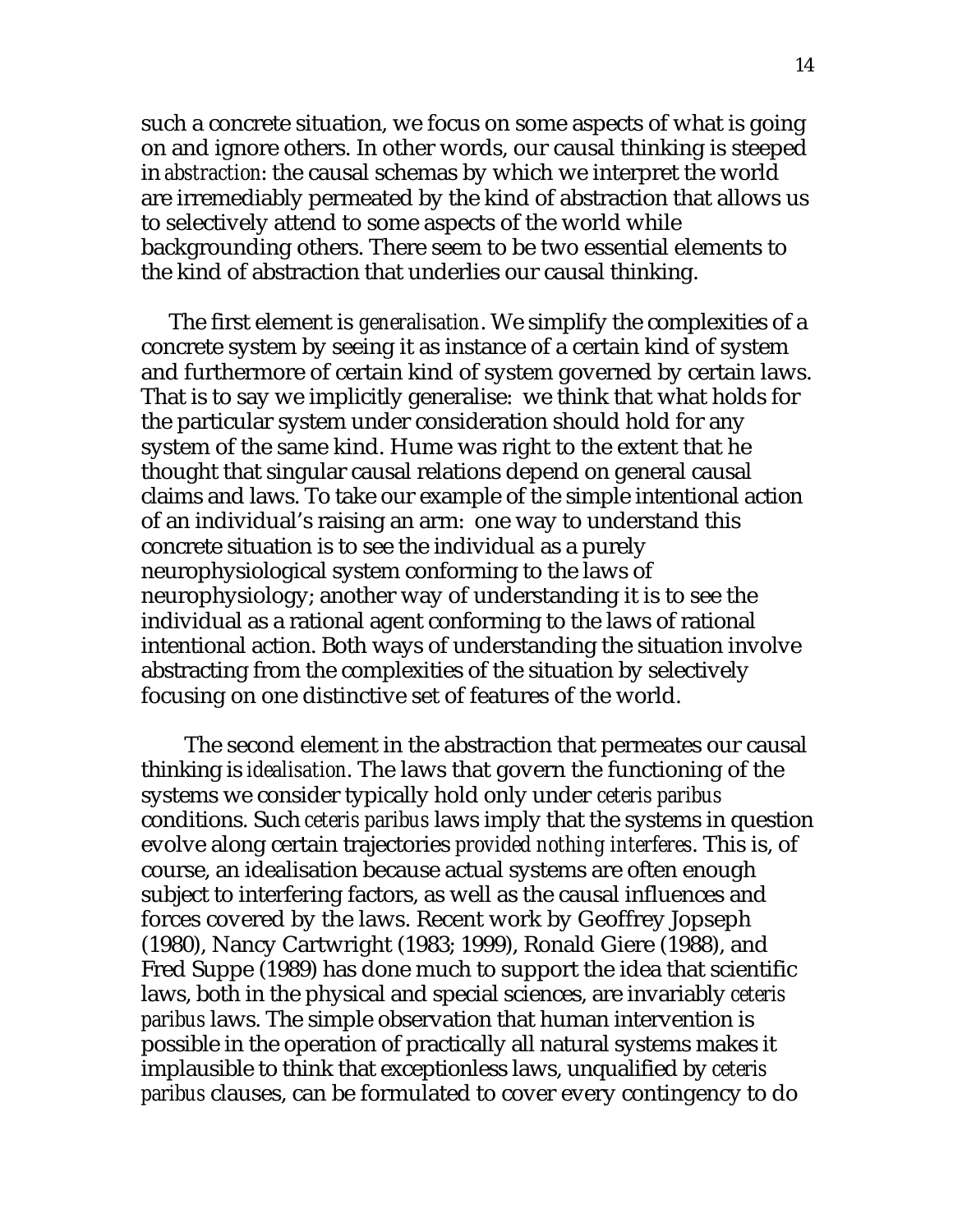such a concrete situation, we focus on some aspects of what is going on and ignore others. In other words, our causal thinking is steeped in *abstraction*: the causal schemas by which we interpret the world are irremediably permeated by the kind of abstraction that allows us to selectively attend to some aspects of the world while backgrounding others. There seem to be two essential elements to the kind of abstraction that underlies our causal thinking.

The first element is *generalisation*. We simplify the complexities of a concrete system by seeing it as instance of a certain kind of system and furthermore of certain kind of system governed by certain laws. That is to say we implicitly generalise: we think that what holds for the particular system under consideration should hold for any system of the same kind. Hume was right to the extent that he thought that singular causal relations depend on general causal claims and laws. To take our example of the simple intentional action of an individual's raising an arm: one way to understand this concrete situation is to see the individual as a purely neurophysiological system conforming to the laws of neurophysiology; another way of understanding it is to see the individual as a rational agent conforming to the laws of rational intentional action. Both ways of understanding the situation involve abstracting from the complexities of the situation by selectively focusing on one distinctive set of features of the world.

The second element in the abstraction that permeates our causal thinking is *idealisation*. The laws that govern the functioning of the systems we consider typically hold only under *ceteris paribus* conditions. Such *ceteris paribus* laws imply that the systems in question evolve along certain trajectories *provided nothing interferes*. This is, of course, an idealisation because actual systems are often enough subject to interfering factors, as well as the causal influences and forces covered by the laws. Recent work by Geoffrey Jopseph (1980), Nancy Cartwright (1983; 1999), Ronald Giere (1988), and Fred Suppe (1989) has done much to support the idea that scientific laws, both in the physical and special sciences, are invariably *ceteris paribus* laws. The simple observation that human intervention is possible in the operation of practically all natural systems makes it implausible to think that exceptionless laws, unqualified by *ceteris paribus* clauses, can be formulated to cover every contingency to do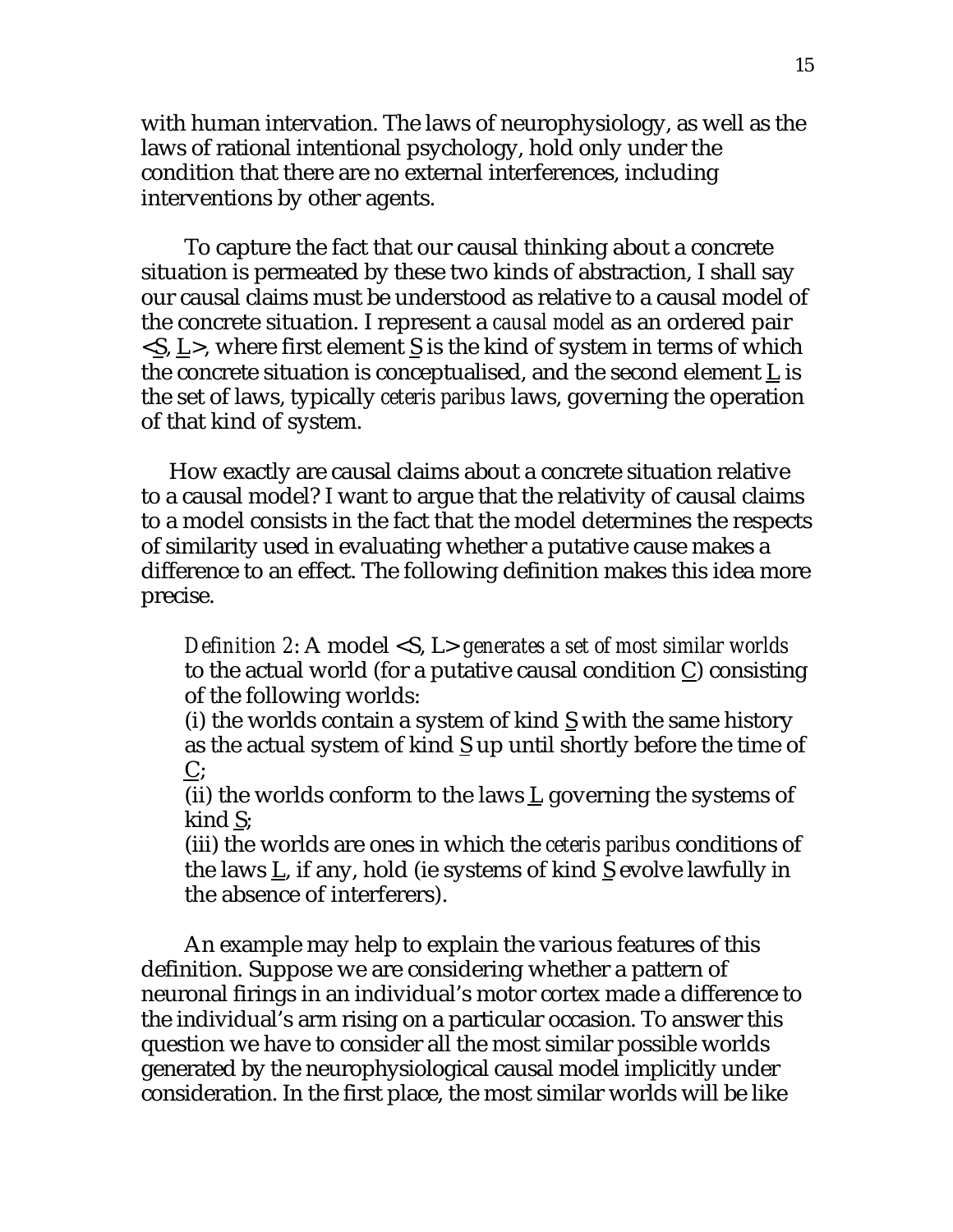with human intervation. The laws of neurophysiology, as well as the laws of rational intentional psychology, hold only under the condition that there are no external interferences, including interventions by other agents.

To capture the fact that our causal thinking about a concrete situation is permeated by these two kinds of abstraction, I shall say our causal claims must be understood as relative to a causal model of the concrete situation. I represent a *causal model* as an ordered pair  $\leq S, L$ , where first element S is the kind of system in terms of which the concrete situation is conceptualised, and the second element  $\underline{L}$  is the set of laws, typically *ceteris paribus* laws, governing the operation of that kind of system.

How exactly are causal claims about a concrete situation relative to a causal model? I want to argue that the relativity of causal claims to a model consists in the fact that the model determines the respects of similarity used in evaluating whether a putative cause makes a difference to an effect. The following definition makes this idea more precise.

*Definition 2*: A model <S, L> *generates a set of most similar worlds* to the actual world (for a putative causal condition C) consisting of the following worlds:

(i) the worlds contain a system of kind  $S$  with the same history as the actual system of kind  $S$  up until shortly before the time of <u>C;</u>

(ii) the worlds conform to the laws  $\underline{L}$  governing the systems of kind S;

(iii) the worlds are ones in which the *ceteris paribus* conditions of the laws  $\underline{L}$ , if any, hold (ie systems of kind  $\underline{S}$  evolve lawfully in the absence of interferers).

An example may help to explain the various features of this definition. Suppose we are considering whether a pattern of neuronal firings in an individual's motor cortex made a difference to the individual's arm rising on a particular occasion. To answer this question we have to consider all the most similar possible worlds generated by the neurophysiological causal model implicitly under consideration. In the first place, the most similar worlds will be like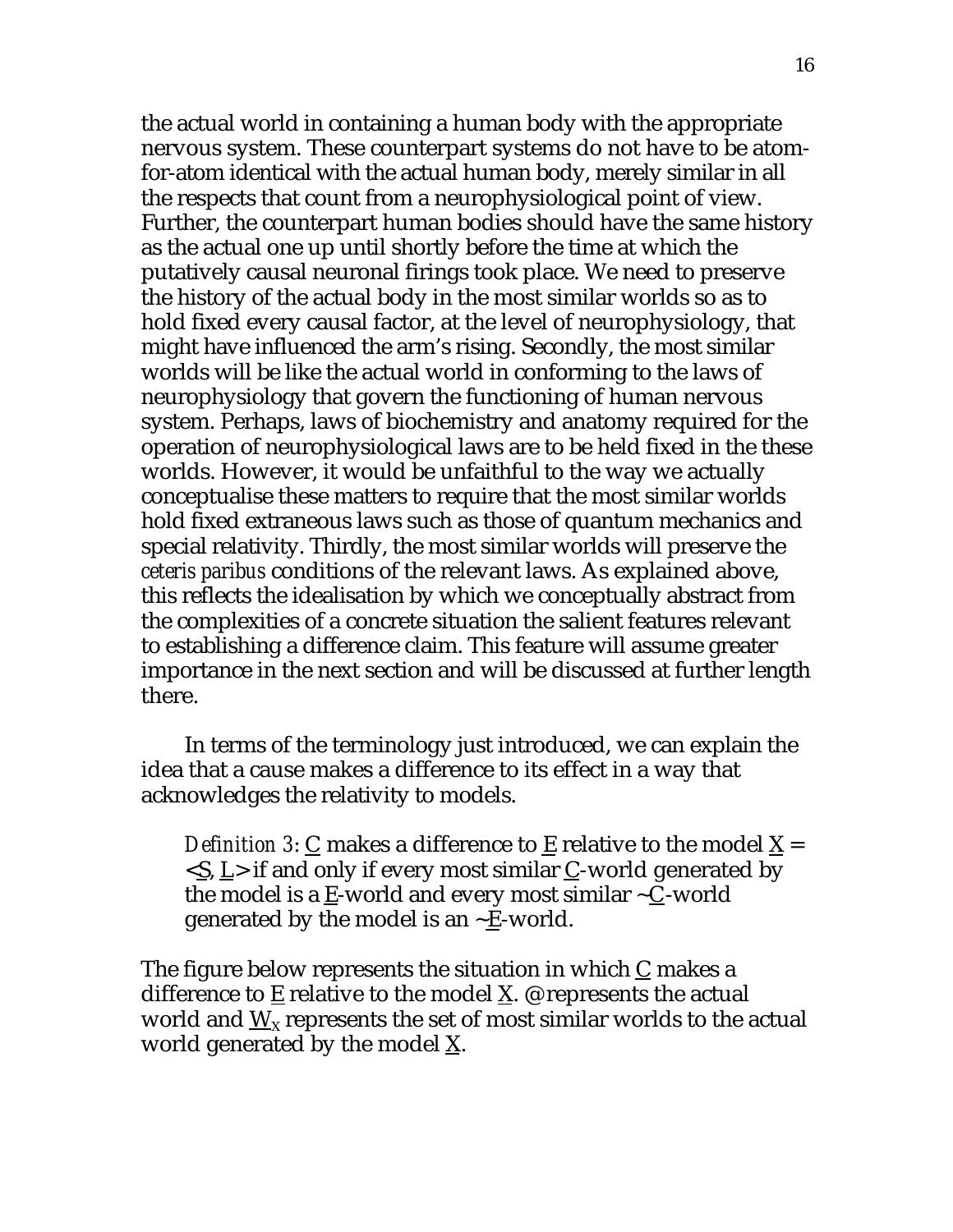the actual world in containing a human body with the appropriate nervous system. These counterpart systems do not have to be atomfor-atom identical with the actual human body, merely similar in all the respects that count from a neurophysiological point of view. Further, the counterpart human bodies should have the same history as the actual one up until shortly before the time at which the putatively causal neuronal firings took place. We need to preserve the history of the actual body in the most similar worlds so as to hold fixed every causal factor, at the level of neurophysiology, that might have influenced the arm's rising. Secondly, the most similar worlds will be like the actual world in conforming to the laws of neurophysiology that govern the functioning of human nervous system. Perhaps, laws of biochemistry and anatomy required for the operation of neurophysiological laws are to be held fixed in the these worlds. However, it would be unfaithful to the way we actually conceptualise these matters to require that the most similar worlds hold fixed extraneous laws such as those of quantum mechanics and special relativity. Thirdly, the most similar worlds will preserve the *ceteris paribus* conditions of the relevant laws. As explained above, this reflects the idealisation by which we conceptually abstract from the complexities of a concrete situation the salient features relevant to establishing a difference claim. This feature will assume greater importance in the next section and will be discussed at further length there.

In terms of the terminology just introduced, we can explain the idea that a cause makes a difference to its effect in a way that acknowledges the relativity to models.

*Definition 3*: <u>C</u> makes a difference to <u>E</u> relative to the model  $\underline{X}$  =  $\langle S, L \rangle$  if and only if every most similar C-world generated by the model is a  $E$ -world and every most similar  $\sim E$ -world generated by the model is an  $\sim \underline{E}$ -world.

The figure below represents the situation in which  $C$  makes a difference to E relative to the model X. @ represents the actual world and  $\underline{W}_x$  represents the set of most similar worlds to the actual world generated by the model  $X$ .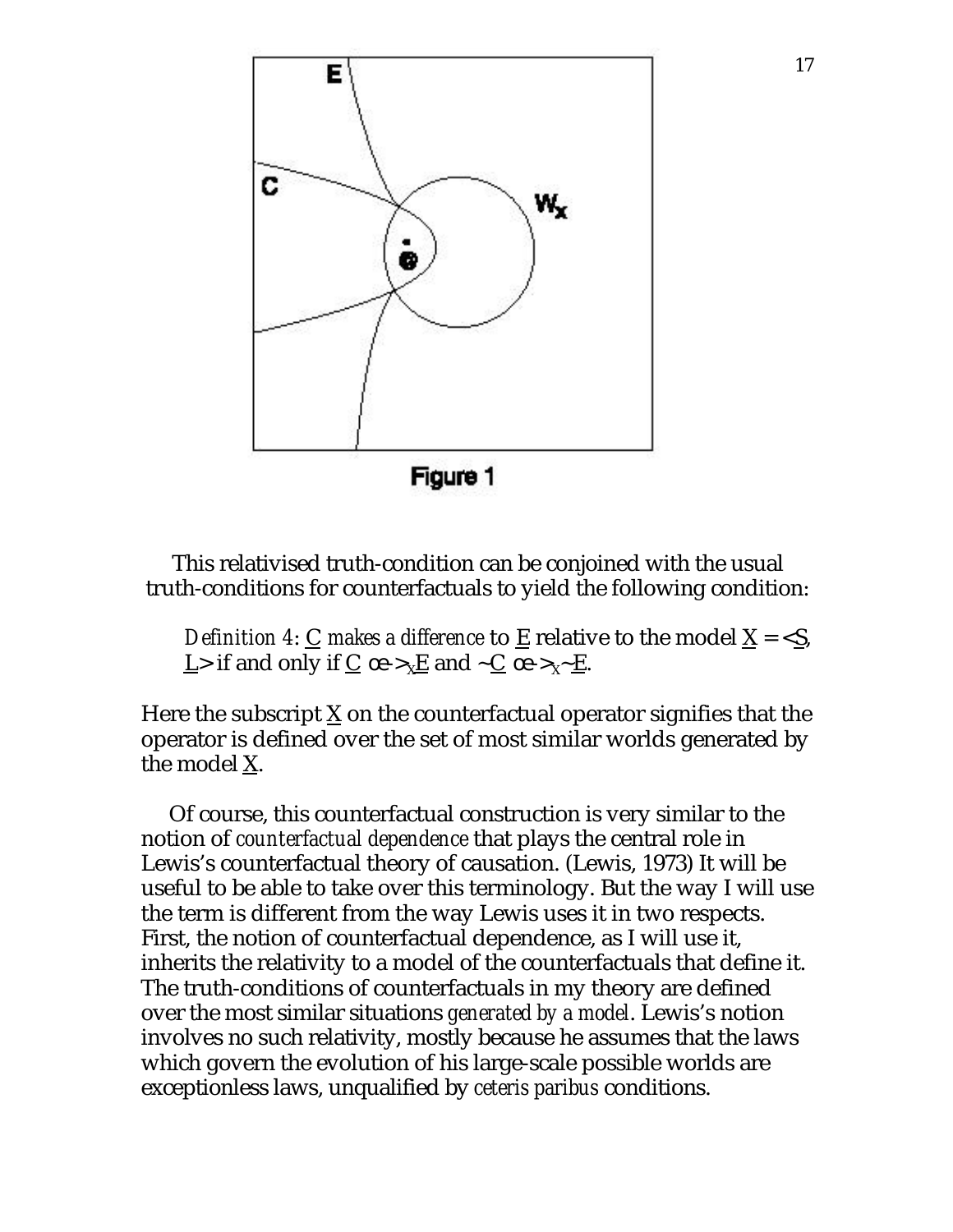

This relativised truth-condition can be conjoined with the usual truth-conditions for counterfactuals to yield the following condition:

*Definition 4:*  $\overline{C}$  *makes a difference* to  $\overline{E}$  relative to the model  $X = \langle S, \rangle$  $\underline{L}$ > if and only if  $\underline{C}$  œ-><sub>x</sub> $\underline{E}$  and ~ $\underline{C}$  œ-><sub>x</sub> $\underline{E}$ .

Here the subscript  $\underline{X}$  on the counterfactual operator signifies that the operator is defined over the set of most similar worlds generated by the model X.

Of course, this counterfactual construction is very similar to the notion of *counterfactual dependence* that plays the central role in Lewis's counterfactual theory of causation. (Lewis, 1973) It will be useful to be able to take over this terminology. But the way I will use the term is different from the way Lewis uses it in two respects. First, the notion of counterfactual dependence, as I will use it, inherits the relativity to a model of the counterfactuals that define it. The truth-conditions of counterfactuals in my theory are defined over the most similar situations *generated by a model*. Lewis's notion involves no such relativity, mostly because he assumes that the laws which govern the evolution of his large-scale possible worlds are exceptionless laws, unqualified by *ceteris paribus* conditions.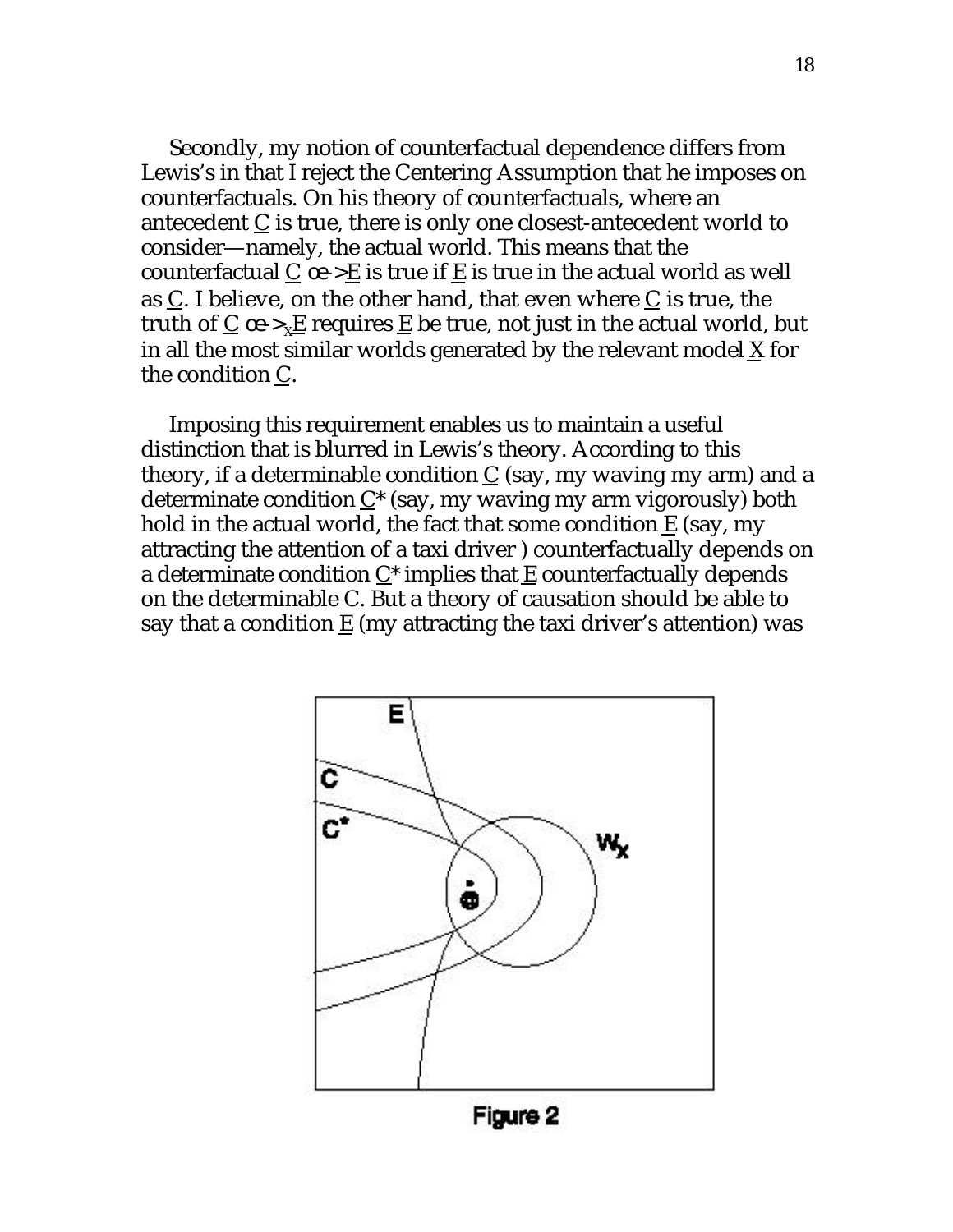Secondly, my notion of counterfactual dependence differs from Lewis's in that I reject the Centering Assumption that he imposes on counterfactuals. On his theory of counterfactuals, where an antecedent  $C$  is true, there is only one closest-antecedent world to consider—namely, the actual world. This means that the counterfactual  $C \n\t\infty$ - $E$  is true if E is true in the actual world as well as C. I believe, on the other hand, that even where C is true, the truth of  $\underline{C}$  œ-><sub>x</sub> $\underline{E}$  requires  $\underline{E}$  be true, not just in the actual world, but in all the most similar worlds generated by the relevant model X for the condition C.

Imposing this requirement enables us to maintain a useful distinction that is blurred in Lewis's theory. According to this theory, if a determinable condition  $C$  (say, my waving my arm) and a determinate condition  $\underline{C}^*$  (say, my waving my arm vigorously) both hold in the actual world, the fact that some condition  $E$  (say, my attracting the attention of a taxi driver ) counterfactually depends on a determinate condition  $\underline{C}^*$  implies that  $\underline{E}$  counterfactually depends on the determinable C. But a theory of causation should be able to say that a condition  $E$  (my attracting the taxi driver's attention) was

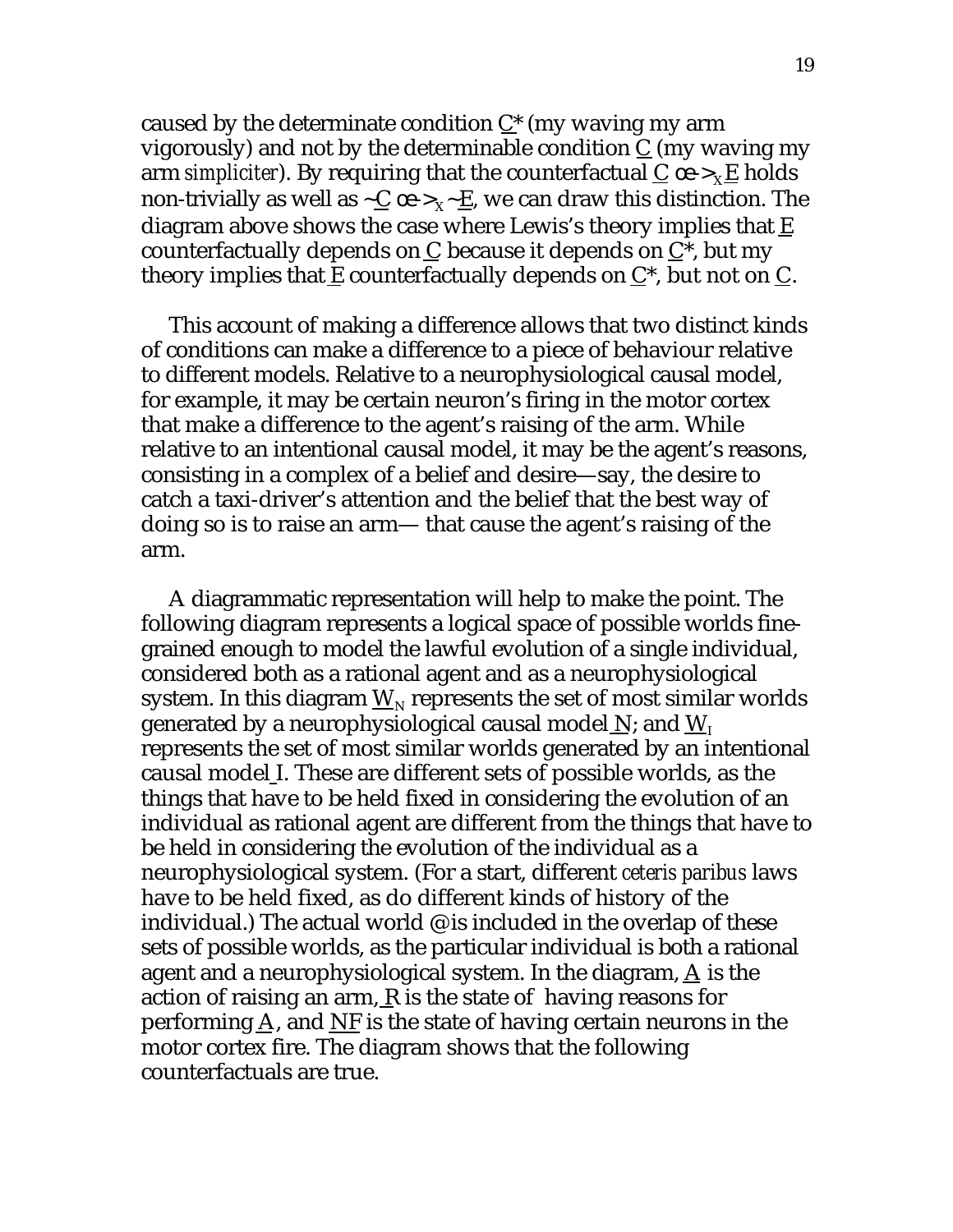caused by the determinate condition  $C^*$  (my waving my arm vigorously) and not by the determinable condition  $C$  (my waving my arm *simpliciter*). By requiring that the counterfactual  $\underline{C}$  œ- $\succ_x \underline{E}$  holds non-trivially as well as  $\sim \underline{C} \propto v \sim E$ , we can draw this distinction. The diagram above shows the case where Lewis's theory implies that  $E$ counterfactually depends on  $C$  because it depends on  $C^*$ , but my theory implies that  $\underline{E}$  counterfactually depends on  $\underline{C}^*$ , but not on  $\underline{C}$ .

This account of making a difference allows that two distinct kinds of conditions can make a difference to a piece of behaviour relative to different models. Relative to a neurophysiological causal model, for example, it may be certain neuron's firing in the motor cortex that make a difference to the agent's raising of the arm. While relative to an intentional causal model, it may be the agent's reasons, consisting in a complex of a belief and desire—say, the desire to catch a taxi-driver's attention and the belief that the best way of doing so is to raise an arm— that cause the agent's raising of the arm.

A diagrammatic representation will help to make the point. The following diagram represents a logical space of possible worlds finegrained enough to model the lawful evolution of a single individual, considered both as a rational agent and as a neurophysiological system. In this diagram  $W_N$  represents the set of most similar worlds generated by a neurophysiological causal model N; and  $W_{I}$ represents the set of most similar worlds generated by an intentional causal model I. These are different sets of possible worlds, as the things that have to be held fixed in considering the evolution of an individual as rational agent are different from the things that have to be held in considering the evolution of the individual as a neurophysiological system. (For a start, different *ceteris paribus* laws have to be held fixed, as do different kinds of history of the individual.) The actual world  $\varphi$  is included in the overlap of these sets of possible worlds, as the particular individual is both a rational agent and a neurophysiological system. In the diagram,  $\underline{A}$  is the action of raising an arm,  $\overline{R}$  is the state of having reasons for performing  $\underline{A}$ , and  $\underline{NF}$  is the state of having certain neurons in the motor cortex fire. The diagram shows that the following counterfactuals are true.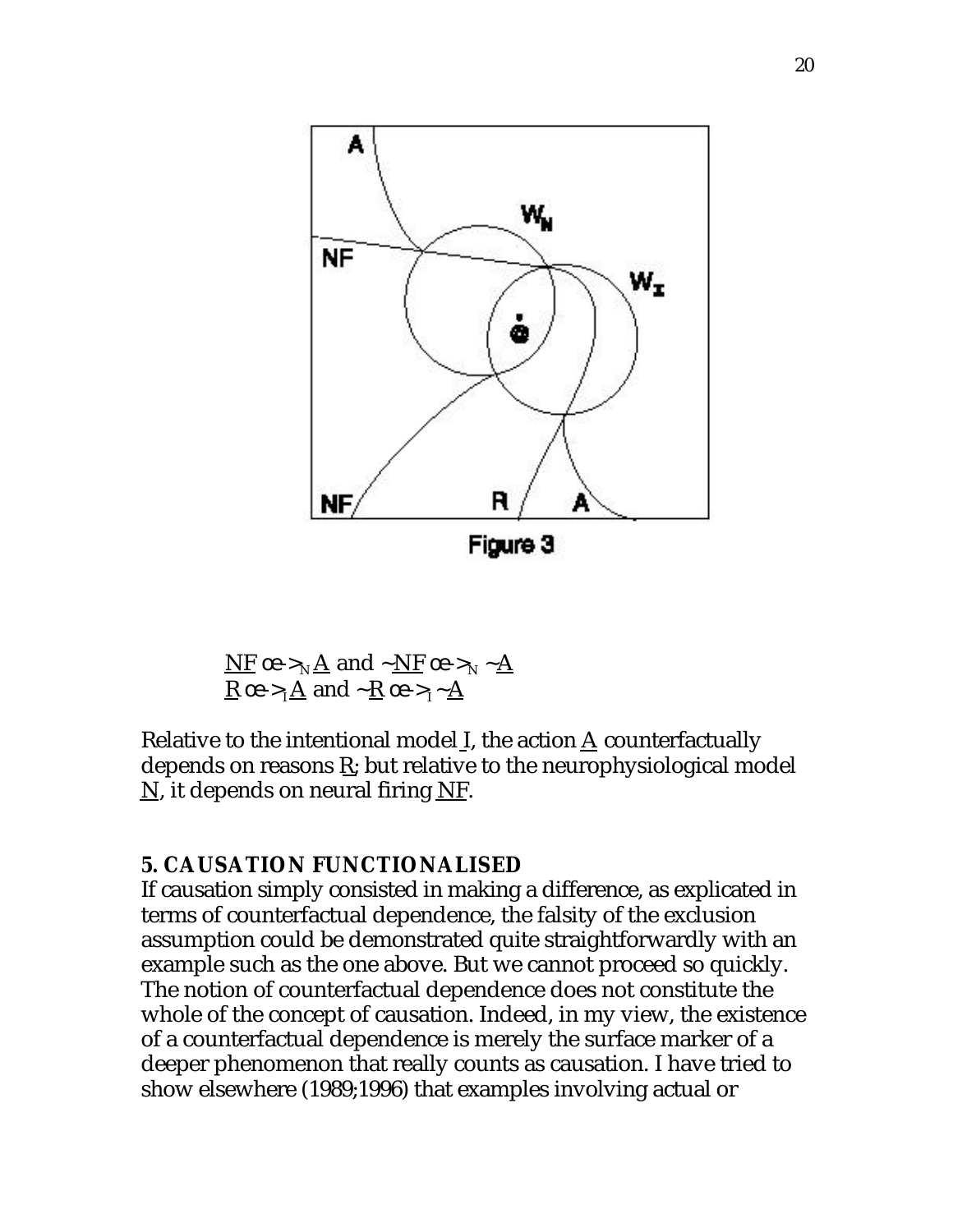

$$
\frac{\text{NF}}{\text{R}} \,\text{ce} \rightarrow_{\text{N}} \underline{\text{A}} \text{ and } \sim \underline{\text{NF}} \,\text{ce} \rightarrow_{\text{N}} \sim \underline{\text{A}} \underline{\text{R}} \,\text{ce} \rightarrow_{\text{I}} \underline{\text{A}} \text{ and } \sim \underline{\text{R}} \,\text{ce} \rightarrow_{\text{I}} \sim \underline{\text{A}}
$$

Relative to the intentional model  $I$ , the action  $\underline{A}$  counterfactually depends on reasons  $\mathbf{R}$ ; but relative to the neurophysiological model  $N$ , it depends on neural firing NF.

### **5. CAUSATION FUNCTIONALISED**

If causation simply consisted in making a difference, as explicated in terms of counterfactual dependence, the falsity of the exclusion assumption could be demonstrated quite straightforwardly with an example such as the one above. But we cannot proceed so quickly. The notion of counterfactual dependence does not constitute the whole of the concept of causation. Indeed, in my view, the existence of a counterfactual dependence is merely the surface marker of a deeper phenomenon that really counts as causation. I have tried to show elsewhere (1989;1996) that examples involving actual or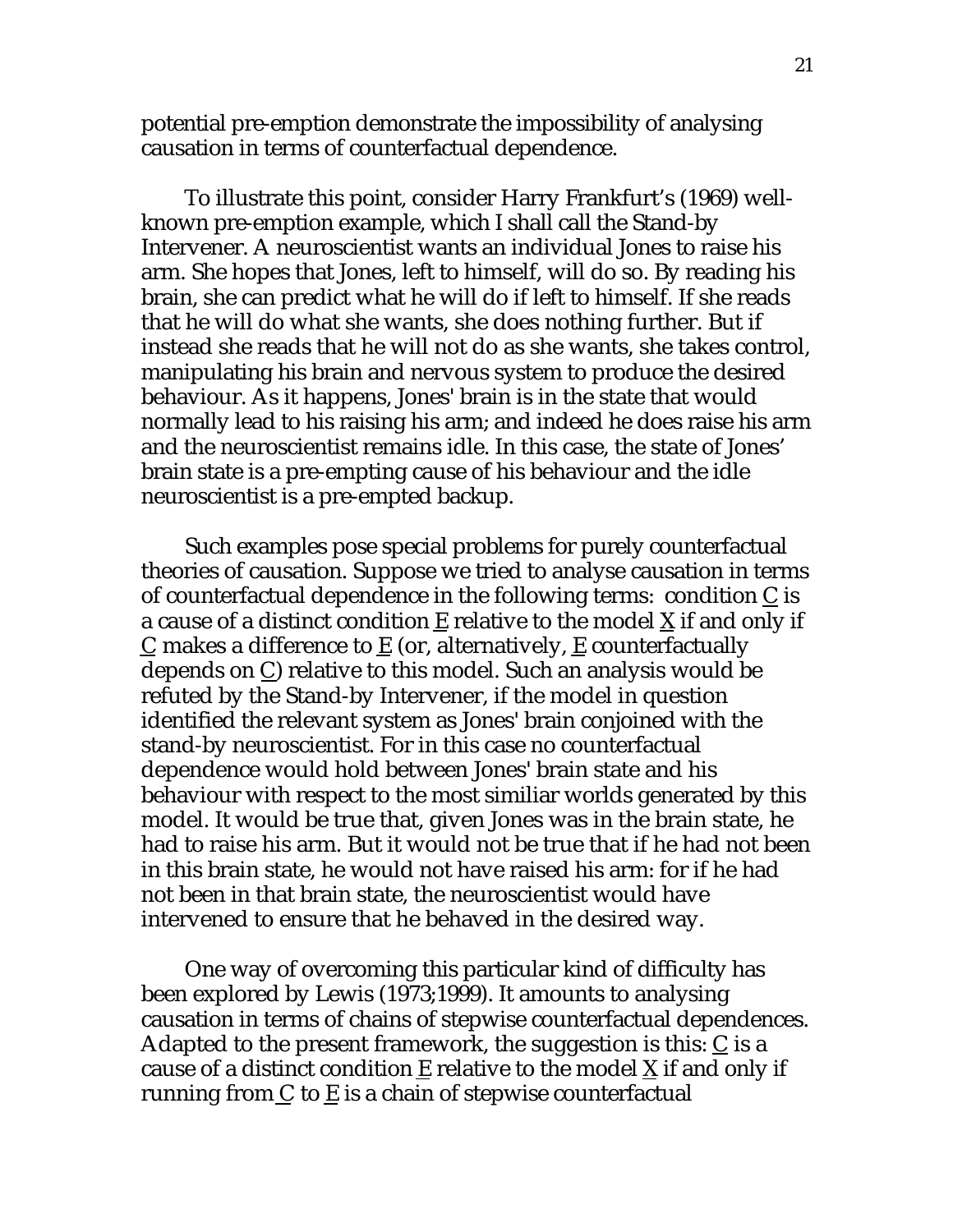potential pre-emption demonstrate the impossibility of analysing causation in terms of counterfactual dependence.

To illustrate this point, consider Harry Frankfurt's (1969) wellknown pre-emption example, which I shall call the Stand-by Intervener. A neuroscientist wants an individual Jones to raise his arm. She hopes that Jones, left to himself, will do so. By reading his brain, she can predict what he will do if left to himself. If she reads that he will do what she wants, she does nothing further. But if instead she reads that he will not do as she wants, she takes control, manipulating his brain and nervous system to produce the desired behaviour. As it happens, Jones' brain is in the state that would normally lead to his raising his arm; and indeed he does raise his arm and the neuroscientist remains idle. In this case, the state of Jones' brain state is a pre-empting cause of his behaviour and the idle neuroscientist is a pre-empted backup.

Such examples pose special problems for purely counterfactual theories of causation. Suppose we tried to analyse causation in terms of counterfactual dependence in the following terms: condition  $C$  is a cause of a distinct condition  $E$  relative to the model  $\underline{X}$  if and only if  $\underline{C}$  makes a difference to  $\underline{E}$  (or, alternatively,  $\underline{E}$  counterfactually depends on C) relative to this model. Such an analysis would be refuted by the Stand-by Intervener, if the model in question identified the relevant system as Jones' brain conjoined with the stand-by neuroscientist. For in this case no counterfactual dependence would hold between Jones' brain state and his behaviour with respect to the most similiar worlds generated by this model. It would be true that, given Jones was in the brain state, he had to raise his arm. But it would not be true that if he had not been in this brain state, he would not have raised his arm: for if he had not been in that brain state, the neuroscientist would have intervened to ensure that he behaved in the desired way.

One way of overcoming this particular kind of difficulty has been explored by Lewis (1973;1999). It amounts to analysing causation in terms of chains of stepwise counterfactual dependences. Adapted to the present framework, the suggestion is this:  $C$  is a cause of a distinct condition E relative to the model X if and only if running from C to E is a chain of stepwise counterfactual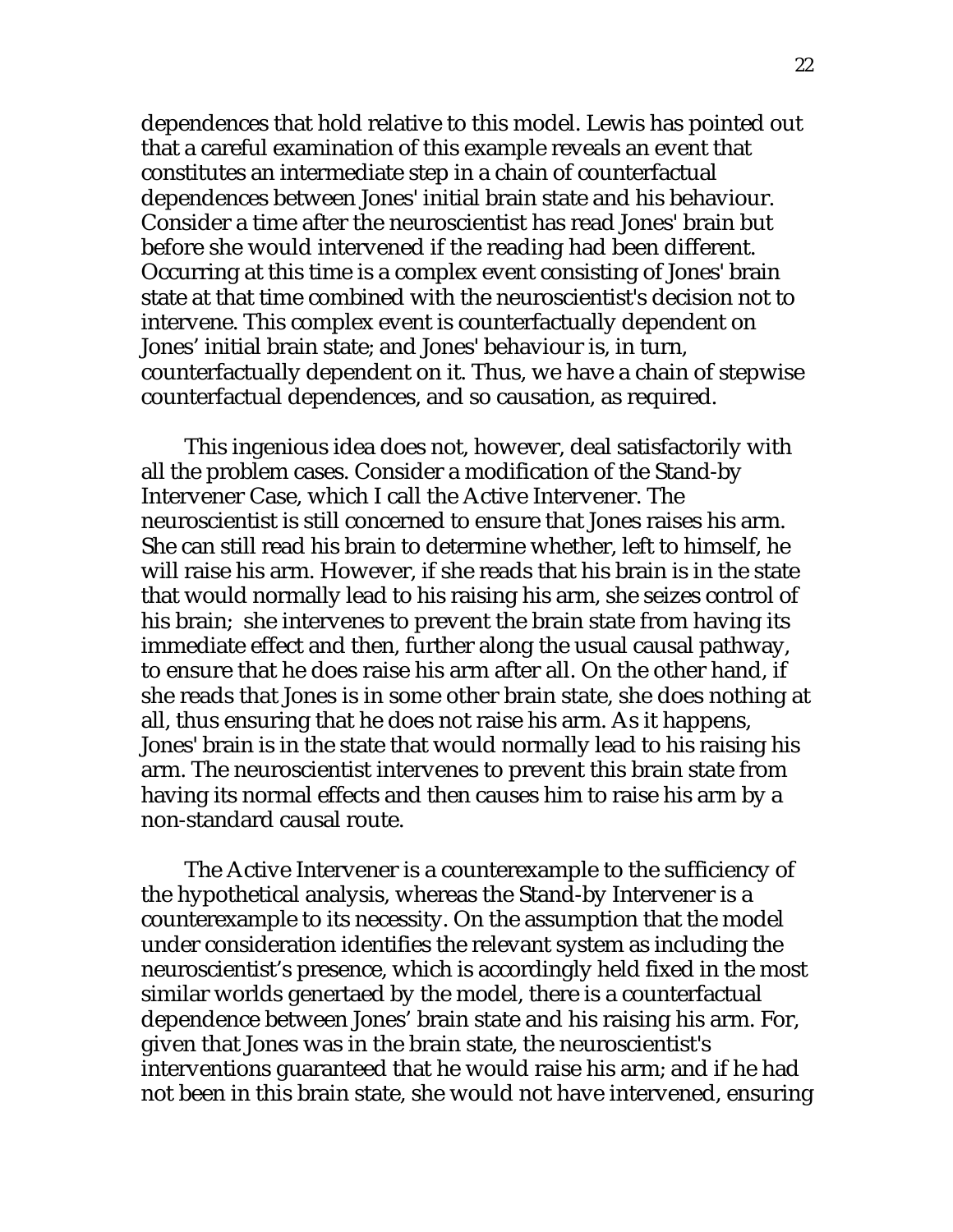dependences that hold relative to this model. Lewis has pointed out that a careful examination of this example reveals an event that constitutes an intermediate step in a chain of counterfactual dependences between Jones' initial brain state and his behaviour. Consider a time after the neuroscientist has read Jones' brain but before she would intervened if the reading had been different. Occurring at this time is a complex event consisting of Jones' brain state at that time combined with the neuroscientist's decision not to intervene. This complex event is counterfactually dependent on Jones' initial brain state; and Jones' behaviour is, in turn, counterfactually dependent on it. Thus, we have a chain of stepwise counterfactual dependences, and so causation, as required.

This ingenious idea does not, however, deal satisfactorily with all the problem cases. Consider a modification of the Stand-by Intervener Case, which I call the Active Intervener. The neuroscientist is still concerned to ensure that Jones raises his arm. She can still read his brain to determine whether, left to himself, he will raise his arm. However, if she reads that his brain is in the state that would normally lead to his raising his arm, she seizes control of his brain; she intervenes to prevent the brain state from having its immediate effect and then, further along the usual causal pathway, to ensure that he does raise his arm after all. On the other hand, if she reads that Jones is in some other brain state, she does nothing at all, thus ensuring that he does not raise his arm. As it happens, Jones' brain is in the state that would normally lead to his raising his arm. The neuroscientist intervenes to prevent this brain state from having its normal effects and then causes him to raise his arm by a non-standard causal route.

The Active Intervener is a counterexample to the sufficiency of the hypothetical analysis, whereas the Stand-by Intervener is a counterexample to its necessity. On the assumption that the model under consideration identifies the relevant system as including the neuroscientist's presence, which is accordingly held fixed in the most similar worlds genertaed by the model, there is a counterfactual dependence between Jones' brain state and his raising his arm. For, given that Jones was in the brain state, the neuroscientist's interventions guaranteed that he would raise his arm; and if he had not been in this brain state, she would not have intervened, ensuring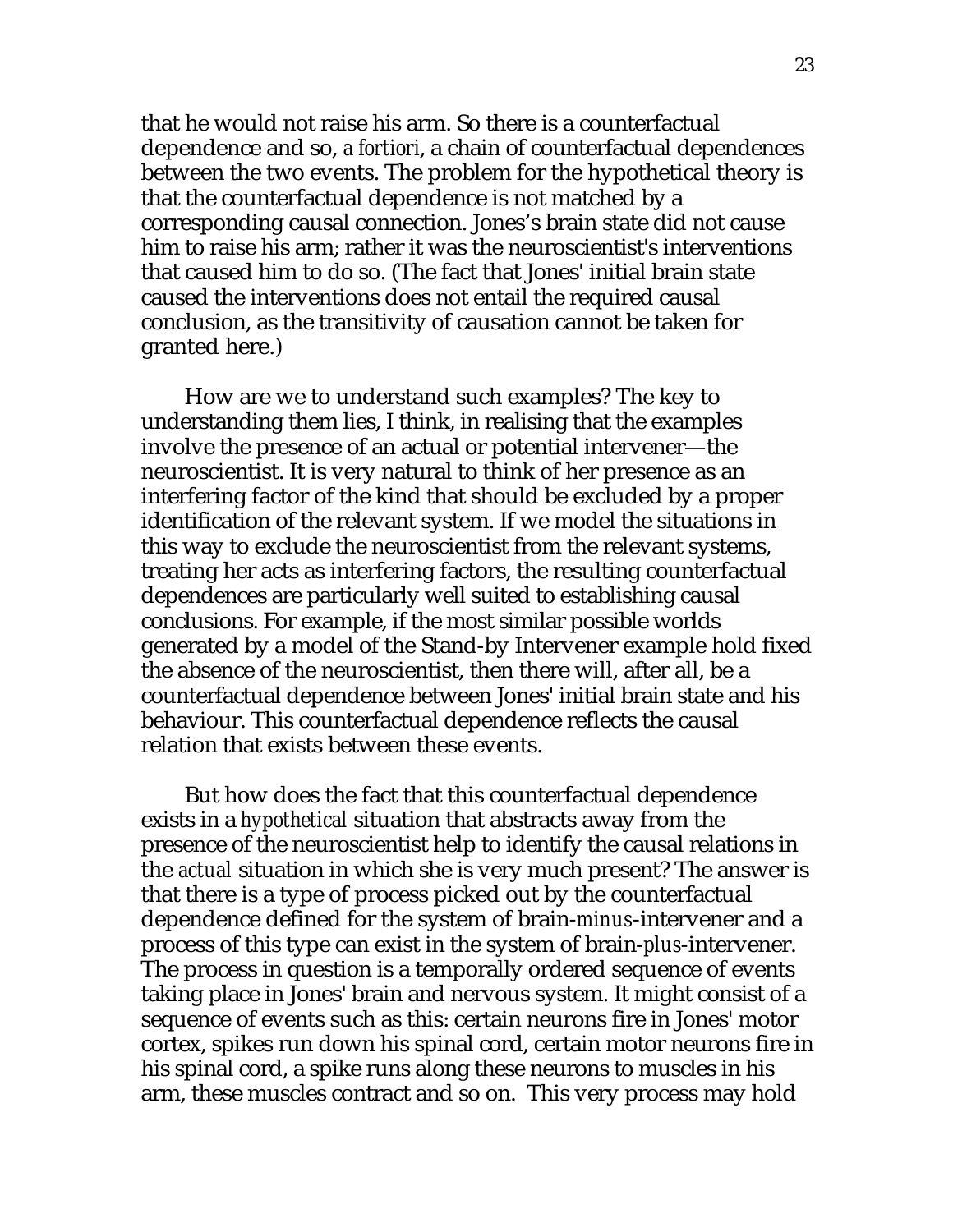that he would not raise his arm. So there is a counterfactual dependence and so, *a fortiori*, a chain of counterfactual dependences between the two events. The problem for the hypothetical theory is that the counterfactual dependence is not matched by a corresponding causal connection. Jones's brain state did not cause him to raise his arm; rather it was the neuroscientist's interventions that caused him to do so. (The fact that Jones' initial brain state caused the interventions does not entail the required causal conclusion, as the transitivity of causation cannot be taken for granted here.)

How are we to understand such examples? The key to understanding them lies, I think, in realising that the examples involve the presence of an actual or potential intervener—the neuroscientist. It is very natural to think of her presence as an interfering factor of the kind that should be excluded by a proper identification of the relevant system. If we model the situations in this way to exclude the neuroscientist from the relevant systems, treating her acts as interfering factors, the resulting counterfactual dependences are particularly well suited to establishing causal conclusions. For example, if the most similar possible worlds generated by a model of the Stand-by Intervener example hold fixed the absence of the neuroscientist, then there will, after all, be a counterfactual dependence between Jones' initial brain state and his behaviour. This counterfactual dependence reflects the causal relation that exists between these events.

But how does the fact that this counterfactual dependence exists in a *hypothetical* situation that abstracts away from the presence of the neuroscientist help to identify the causal relations in the *actual* situation in which she is very much present? The answer is that there is a type of process picked out by the counterfactual dependence defined for the system of brain-*minus*-intervener and a process of this type can exist in the system of brain-*plus*-intervener. The process in question is a temporally ordered sequence of events taking place in Jones' brain and nervous system. It might consist of a sequence of events such as this: certain neurons fire in Jones' motor cortex, spikes run down his spinal cord, certain motor neurons fire in his spinal cord, a spike runs along these neurons to muscles in his arm, these muscles contract and so on. This very process may hold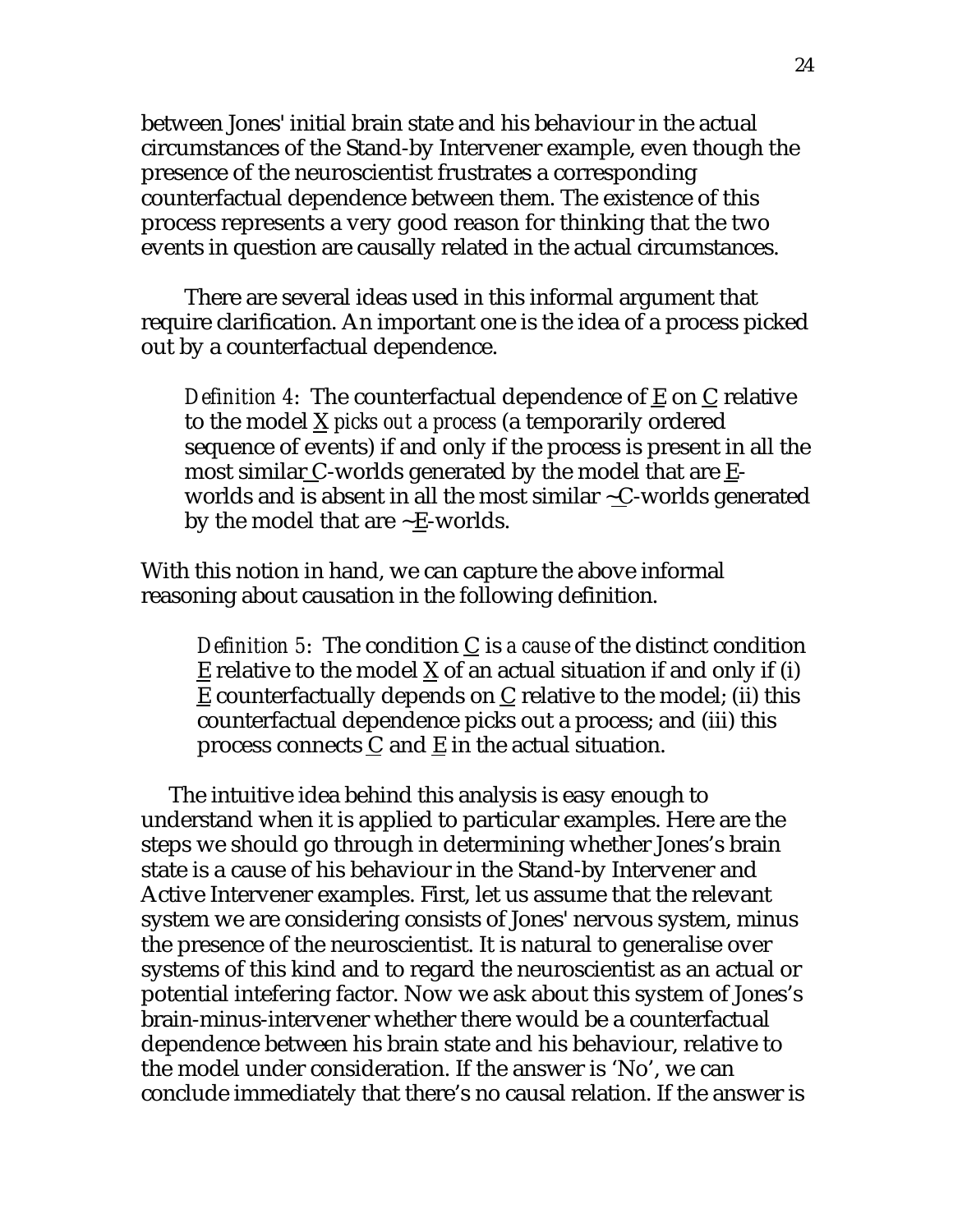between Jones' initial brain state and his behaviour in the actual circumstances of the Stand-by Intervener example, even though the presence of the neuroscientist frustrates a corresponding counterfactual dependence between them. The existence of this process represents a very good reason for thinking that the two events in question are causally related in the actual circumstances.

There are several ideas used in this informal argument that require clarification. An important one is the idea of a process picked out by a counterfactual dependence.

*Definition 4*: The counterfactual dependence of E on C relative to the model X *picks out a process* (a temporarily ordered sequence of events) if and only if the process is present in all the most similar C-worlds generated by the model that are  $E$ worlds and is absent in all the most similar  $\sim$  C-worlds generated by the model that are  $\sim$ E-worlds.

With this notion in hand, we can capture the above informal reasoning about causation in the following definition.

*Definition 5*: The condition C is *a cause* of the distinct condition E relative to the model X of an actual situation if and only if (i)  $E$  counterfactually depends on  $C$  relative to the model; (ii) this counterfactual dependence picks out a process; and (iii) this process connects  $\underline{C}$  and  $\underline{E}$  in the actual situation.

The intuitive idea behind this analysis is easy enough to understand when it is applied to particular examples. Here are the steps we should go through in determining whether Jones's brain state is a cause of his behaviour in the Stand-by Intervener and Active Intervener examples. First, let us assume that the relevant system we are considering consists of Jones' nervous system, minus the presence of the neuroscientist. It is natural to generalise over systems of this kind and to regard the neuroscientist as an actual or potential intefering factor. Now we ask about this system of Jones's brain-minus-intervener whether there would be a counterfactual dependence between his brain state and his behaviour, relative to the model under consideration. If the answer is 'No', we can conclude immediately that there's no causal relation. If the answer is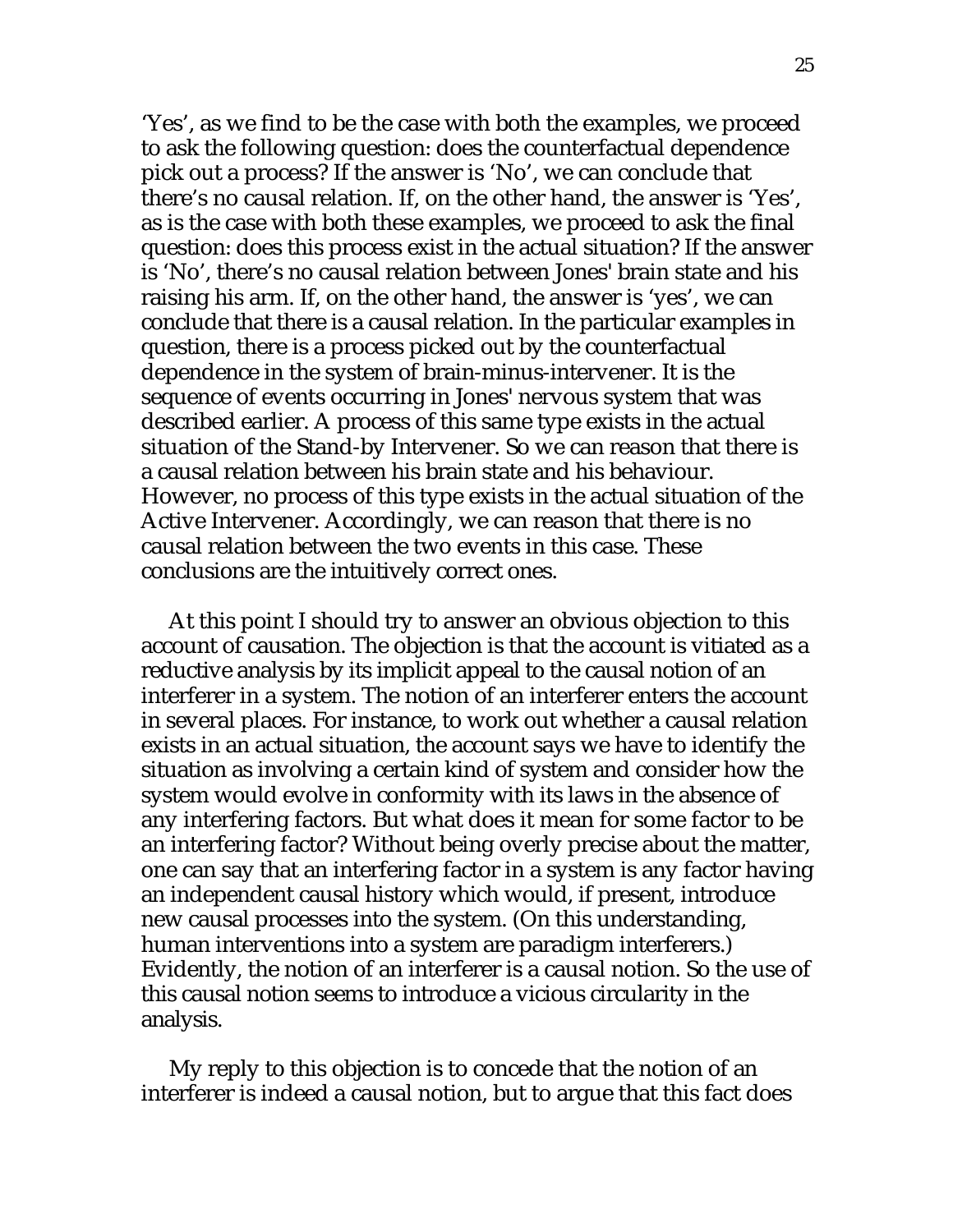'Yes', as we find to be the case with both the examples, we proceed to ask the following question: does the counterfactual dependence pick out a process? If the answer is 'No', we can conclude that there's no causal relation. If, on the other hand, the answer is 'Yes', as is the case with both these examples, we proceed to ask the final question: does this process exist in the actual situation? If the answer is 'No', there's no causal relation between Jones' brain state and his raising his arm. If, on the other hand, the answer is 'yes', we can conclude that there is a causal relation. In the particular examples in question, there is a process picked out by the counterfactual dependence in the system of brain-minus-intervener. It is the sequence of events occurring in Jones' nervous system that was described earlier. A process of this same type exists in the actual situation of the Stand-by Intervener. So we can reason that there is a causal relation between his brain state and his behaviour. However, no process of this type exists in the actual situation of the Active Intervener. Accordingly, we can reason that there is no causal relation between the two events in this case. These conclusions are the intuitively correct ones.

At this point I should try to answer an obvious objection to this account of causation. The objection is that the account is vitiated as a reductive analysis by its implicit appeal to the causal notion of an interferer in a system. The notion of an interferer enters the account in several places. For instance, to work out whether a causal relation exists in an actual situation, the account says we have to identify the situation as involving a certain kind of system and consider how the system would evolve in conformity with its laws in the absence of any interfering factors. But what does it mean for some factor to be an interfering factor? Without being overly precise about the matter, one can say that an interfering factor in a system is any factor having an independent causal history which would, if present, introduce new causal processes into the system. (On this understanding, human interventions into a system are paradigm interferers.) Evidently, the notion of an interferer is a causal notion. So the use of this causal notion seems to introduce a vicious circularity in the analysis.

My reply to this objection is to concede that the notion of an interferer is indeed a causal notion, but to argue that this fact does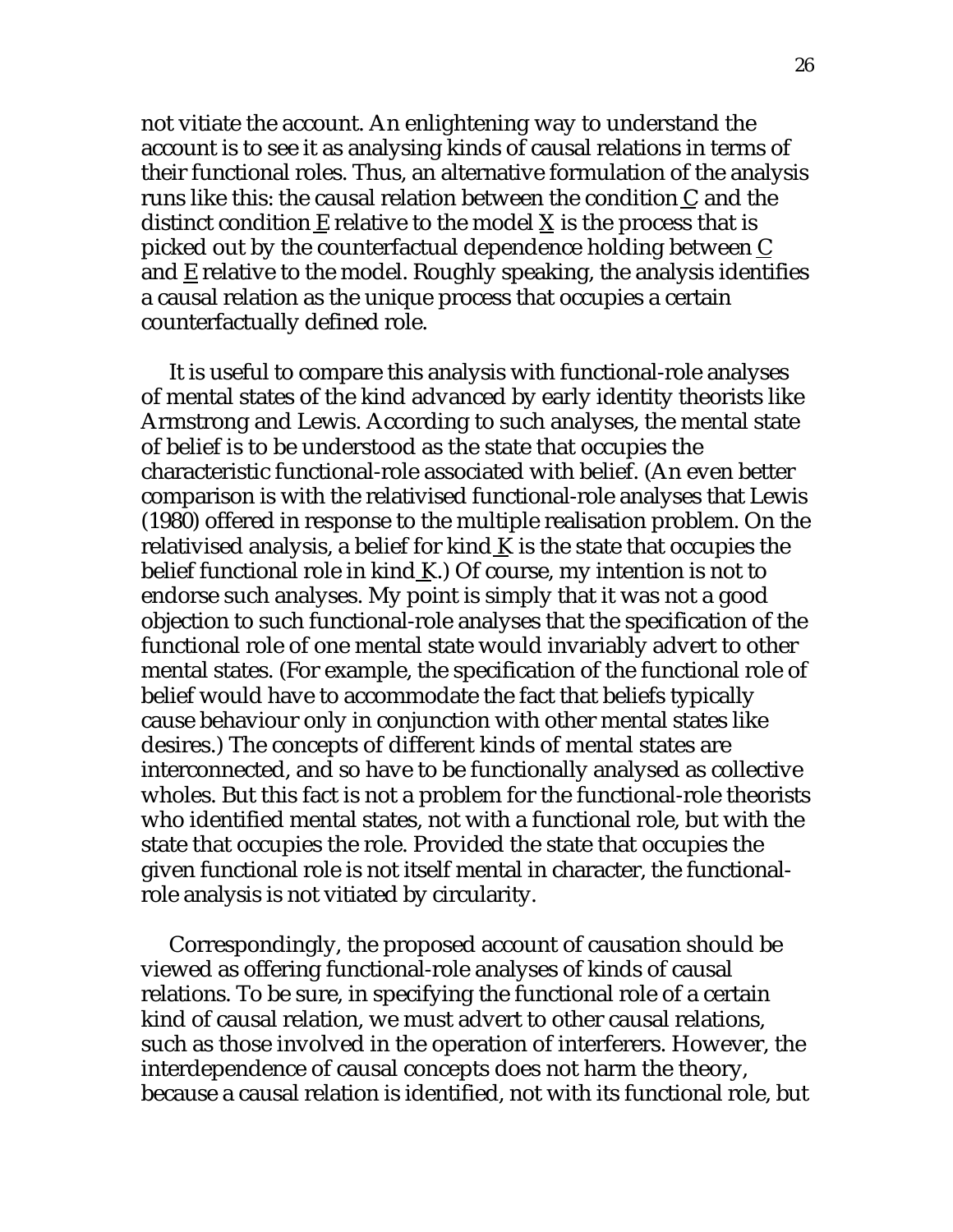not vitiate the account. An enlightening way to understand the account is to see it as analysing kinds of causal relations in terms of their functional roles. Thus, an alternative formulation of the analysis runs like this: the causal relation between the condition C and the distinct condition E relative to the model X is the process that is picked out by the counterfactual dependence holding between C and  $E$  relative to the model. Roughly speaking, the analysis identifies a causal relation as the unique process that occupies a certain counterfactually defined role.

It is useful to compare this analysis with functional-role analyses of mental states of the kind advanced by early identity theorists like Armstrong and Lewis. According to such analyses, the mental state of belief is to be understood as the state that occupies the characteristic functional-role associated with belief. (An even better comparison is with the relativised functional-role analyses that Lewis (1980) offered in response to the multiple realisation problem. On the relativised analysis, a belief for kind K is the state that occupies the belief functional role in kind  $K$ .) Of course, my intention is not to endorse such analyses. My point is simply that it was not a good objection to such functional-role analyses that the specification of the functional role of one mental state would invariably advert to other mental states. (For example, the specification of the functional role of belief would have to accommodate the fact that beliefs typically cause behaviour only in conjunction with other mental states like desires.) The concepts of different kinds of mental states are interconnected, and so have to be functionally analysed as collective wholes. But this fact is not a problem for the functional-role theorists who identified mental states, not with a functional role, but with the state that occupies the role. Provided the state that occupies the given functional role is not itself mental in character, the functionalrole analysis is not vitiated by circularity.

Correspondingly, the proposed account of causation should be viewed as offering functional-role analyses of kinds of causal relations. To be sure, in specifying the functional role of a certain kind of causal relation, we must advert to other causal relations, such as those involved in the operation of interferers. However, the interdependence of causal concepts does not harm the theory, because a causal relation is identified, not with its functional role, but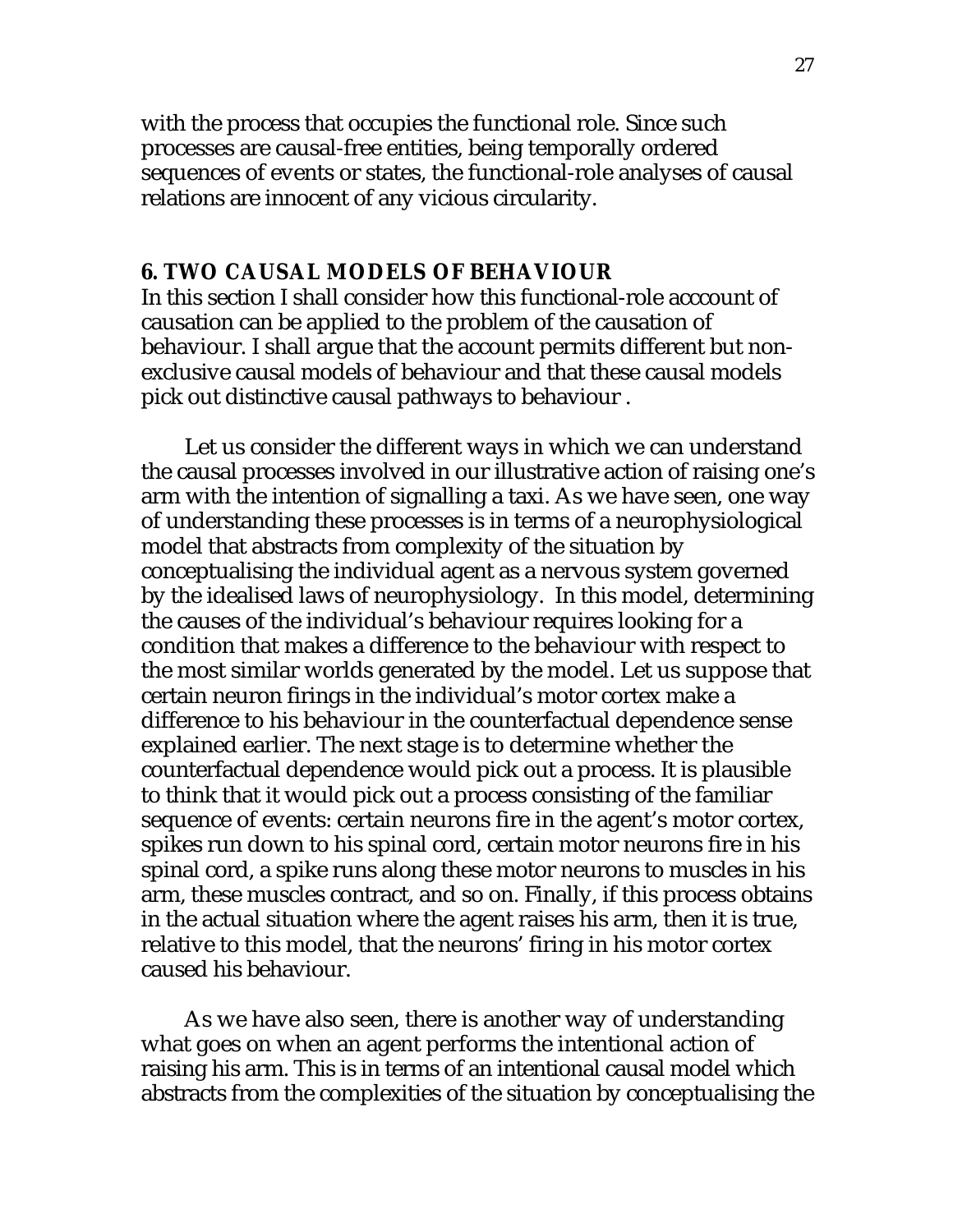with the process that occupies the functional role. Since such processes are causal-free entities, being temporally ordered sequences of events or states, the functional-role analyses of causal relations are innocent of any vicious circularity.

### **6. TWO CAUSAL MODELS OF BEHAVIOUR**

In this section I shall consider how this functional-role acccount of causation can be applied to the problem of the causation of behaviour. I shall argue that the account permits different but nonexclusive causal models of behaviour and that these causal models pick out distinctive causal pathways to behaviour .

Let us consider the different ways in which we can understand the causal processes involved in our illustrative action of raising one's arm with the intention of signalling a taxi. As we have seen, one way of understanding these processes is in terms of a neurophysiological model that abstracts from complexity of the situation by conceptualising the individual agent as a nervous system governed by the idealised laws of neurophysiology. In this model, determining the causes of the individual's behaviour requires looking for a condition that makes a difference to the behaviour with respect to the most similar worlds generated by the model. Let us suppose that certain neuron firings in the individual's motor cortex make a difference to his behaviour in the counterfactual dependence sense explained earlier. The next stage is to determine whether the counterfactual dependence would pick out a process. It is plausible to think that it would pick out a process consisting of the familiar sequence of events: certain neurons fire in the agent's motor cortex, spikes run down to his spinal cord, certain motor neurons fire in his spinal cord, a spike runs along these motor neurons to muscles in his arm, these muscles contract, and so on. Finally, if this process obtains in the actual situation where the agent raises his arm, then it is true, relative to this model, that the neurons' firing in his motor cortex caused his behaviour.

As we have also seen, there is another way of understanding what goes on when an agent performs the intentional action of raising his arm. This is in terms of an intentional causal model which abstracts from the complexities of the situation by conceptualising the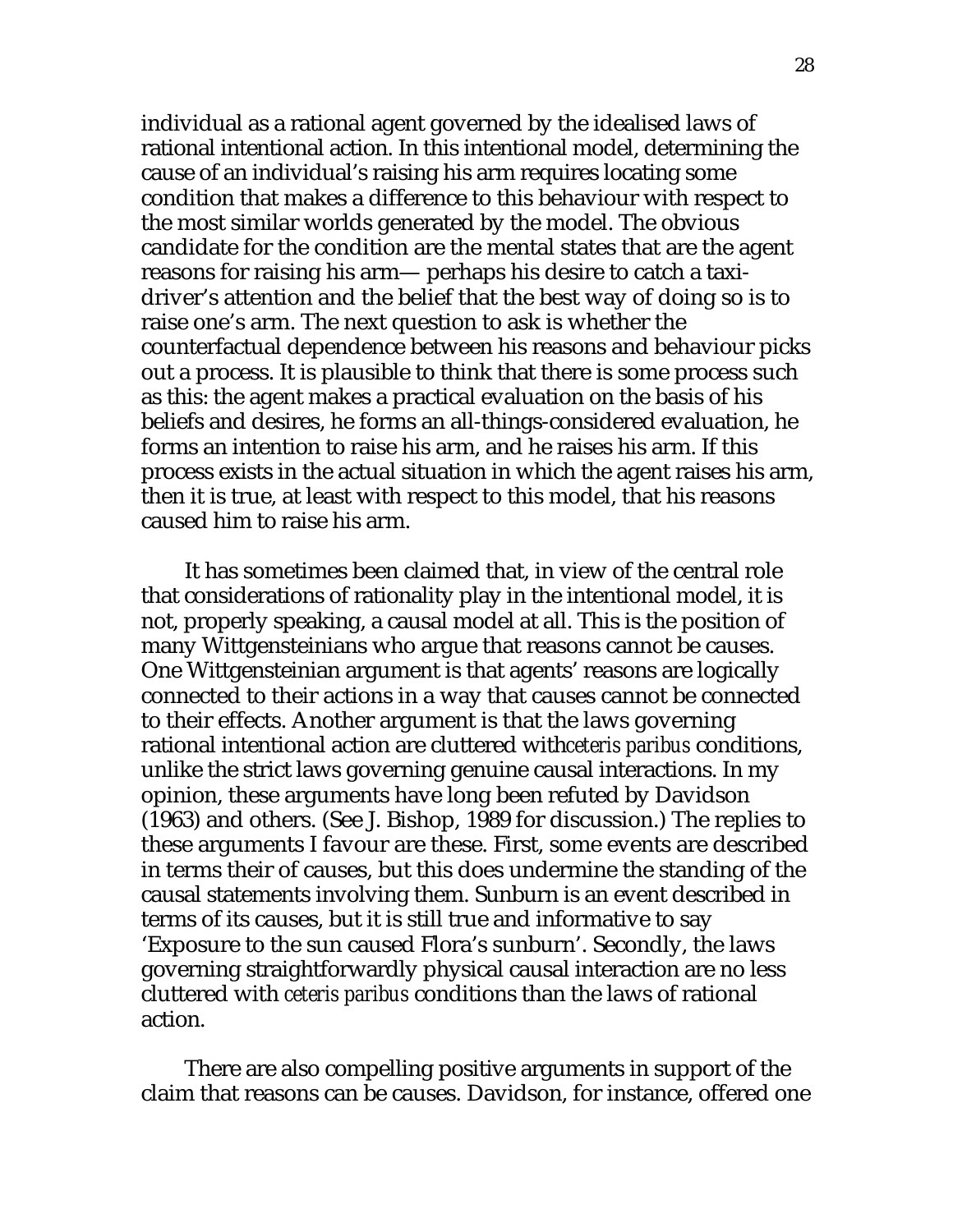individual as a rational agent governed by the idealised laws of rational intentional action. In this intentional model, determining the cause of an individual's raising his arm requires locating some condition that makes a difference to this behaviour with respect to the most similar worlds generated by the model. The obvious candidate for the condition are the mental states that are the agent reasons for raising his arm— perhaps his desire to catch a taxidriver's attention and the belief that the best way of doing so is to raise one's arm. The next question to ask is whether the counterfactual dependence between his reasons and behaviour picks out a process. It is plausible to think that there is some process such as this: the agent makes a practical evaluation on the basis of his beliefs and desires, he forms an all-things-considered evaluation, he forms an intention to raise his arm, and he raises his arm. If this process exists in the actual situation in which the agent raises his arm, then it is true, at least with respect to this model, that his reasons caused him to raise his arm.

It has sometimes been claimed that, in view of the central role that considerations of rationality play in the intentional model, it is not, properly speaking, a causal model at all. This is the position of many Wittgensteinians who argue that reasons cannot be causes. One Wittgensteinian argument is that agents' reasons are logically connected to their actions in a way that causes cannot be connected to their effects. Another argument is that the laws governing rational intentional action are cluttered with*ceteris paribus* conditions, unlike the strict laws governing genuine causal interactions. In my opinion, these arguments have long been refuted by Davidson (1963) and others. (See J. Bishop, 1989 for discussion.) The replies to these arguments I favour are these. First, some events are described in terms their of causes, but this does undermine the standing of the causal statements involving them. Sunburn is an event described in terms of its causes, but it is still true and informative to say 'Exposure to the sun caused Flora's sunburn'. Secondly, the laws governing straightforwardly physical causal interaction are no less cluttered with *ceteris paribus* conditions than the laws of rational action.

There are also compelling positive arguments in support of the claim that reasons can be causes. Davidson, for instance, offered one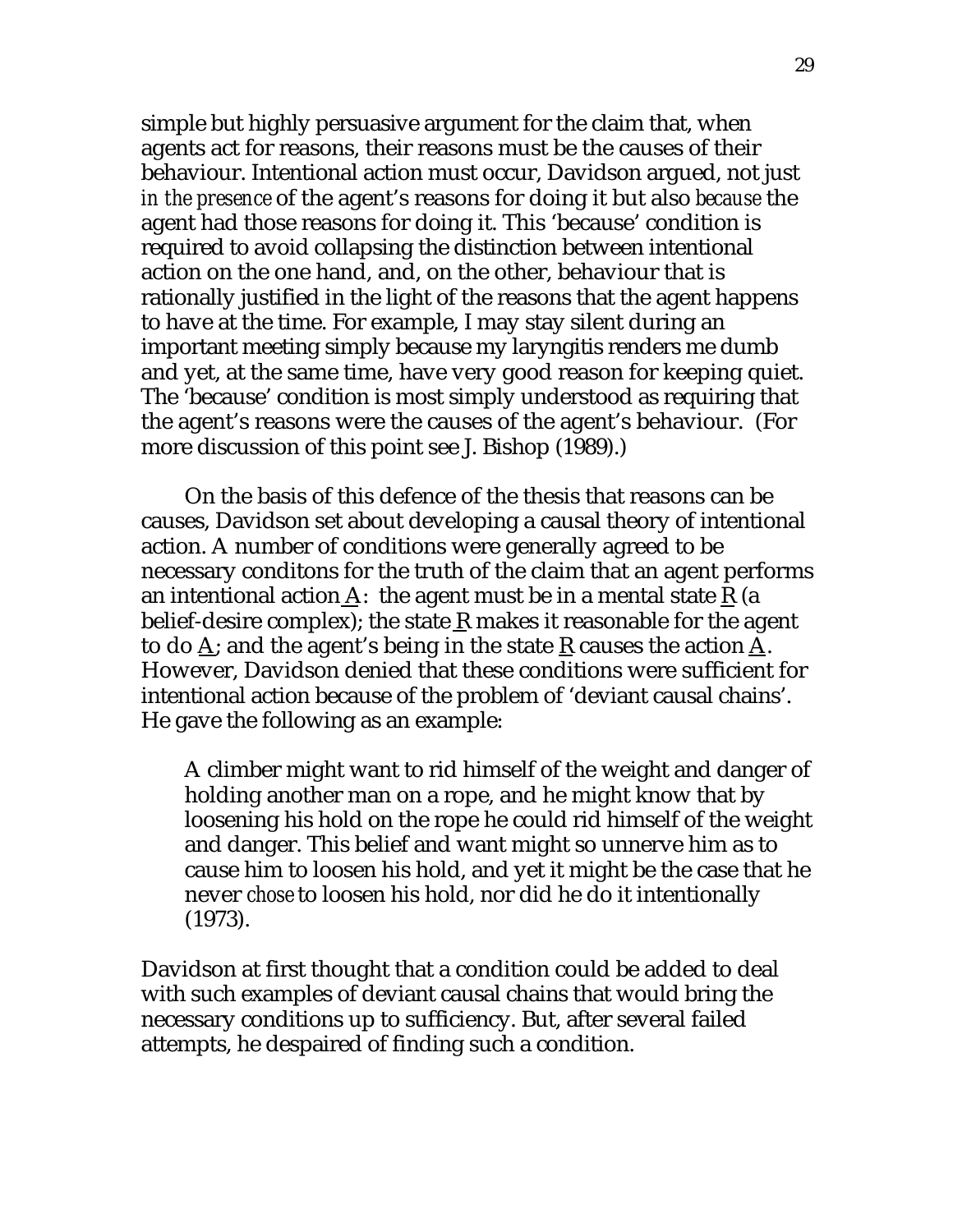simple but highly persuasive argument for the claim that, when agents act for reasons, their reasons must be the causes of their behaviour. Intentional action must occur, Davidson argued, not just *in the presence* of the agent's reasons for doing it but also *because* the agent had those reasons for doing it. This 'because' condition is required to avoid collapsing the distinction between intentional action on the one hand, and, on the other, behaviour that is rationally justified in the light of the reasons that the agent happens to have at the time. For example, I may stay silent during an important meeting simply because my laryngitis renders me dumb and yet, at the same time, have very good reason for keeping quiet. The 'because' condition is most simply understood as requiring that the agent's reasons were the causes of the agent's behaviour. (For more discussion of this point see J. Bishop (1989).)

On the basis of this defence of the thesis that reasons can be causes, Davidson set about developing a causal theory of intentional action. A number of conditions were generally agreed to be necessary conditons for the truth of the claim that an agent performs an intentional action  $\underline{A}$ : the agent must be in a mental state R (a belief-desire complex); the state  $\underline{R}$  makes it reasonable for the agent to do  $\underline{A}$ ; and the agent's being in the state  $\underline{R}$  causes the action  $\underline{A}$ . However, Davidson denied that these conditions were sufficient for intentional action because of the problem of 'deviant causal chains'. He gave the following as an example:

A climber might want to rid himself of the weight and danger of holding another man on a rope, and he might know that by loosening his hold on the rope he could rid himself of the weight and danger. This belief and want might so unnerve him as to cause him to loosen his hold, and yet it might be the case that he never *chose* to loosen his hold, nor did he do it intentionally (1973).

Davidson at first thought that a condition could be added to deal with such examples of deviant causal chains that would bring the necessary conditions up to sufficiency. But, after several failed attempts, he despaired of finding such a condition.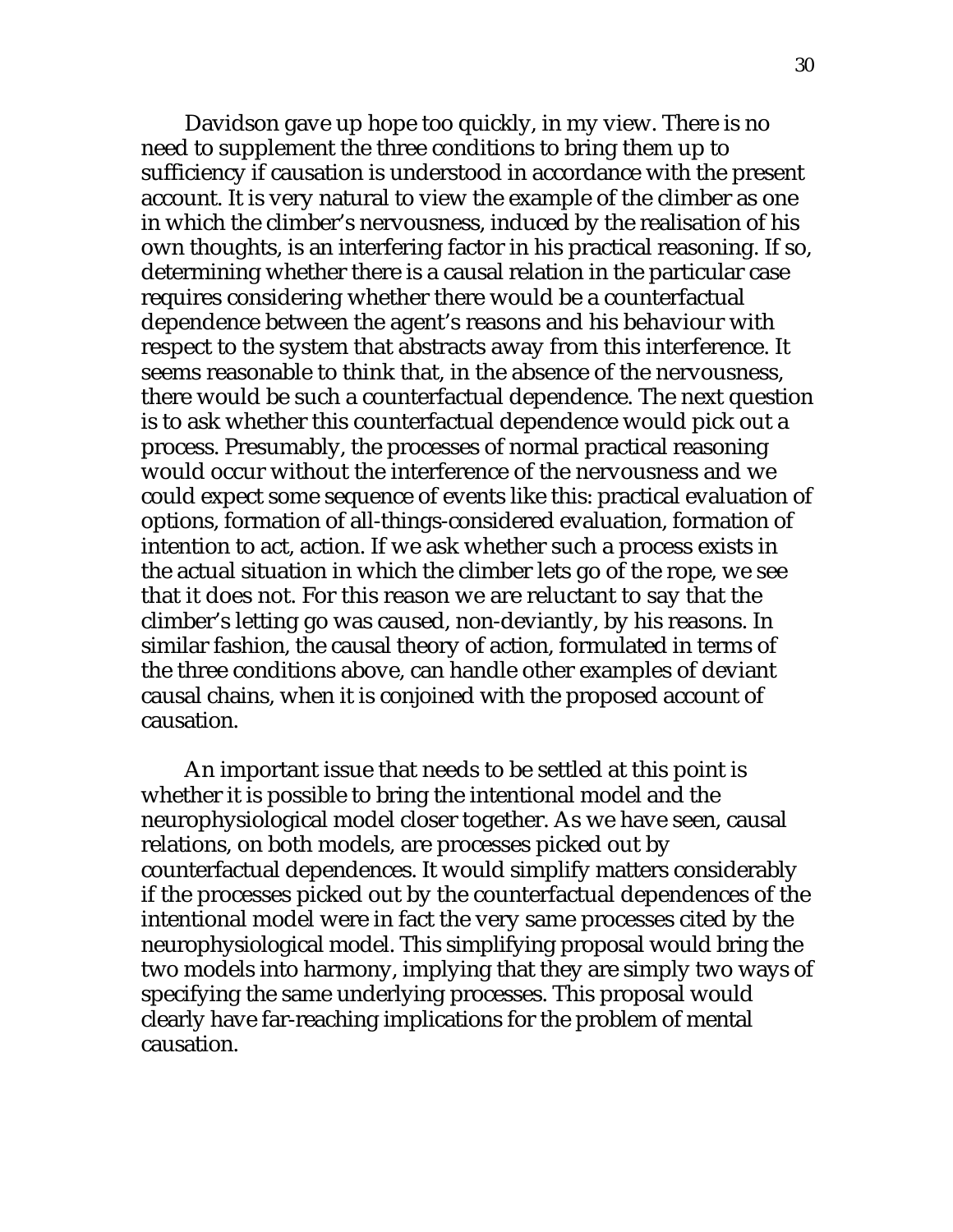Davidson gave up hope too quickly, in my view. There is no need to supplement the three conditions to bring them up to sufficiency if causation is understood in accordance with the present account. It is very natural to view the example of the climber as one in which the climber's nervousness, induced by the realisation of his own thoughts, is an interfering factor in his practical reasoning. If so, determining whether there is a causal relation in the particular case requires considering whether there would be a counterfactual dependence between the agent's reasons and his behaviour with respect to the system that abstracts away from this interference. It seems reasonable to think that, in the absence of the nervousness, there would be such a counterfactual dependence. The next question is to ask whether this counterfactual dependence would pick out a process. Presumably, the processes of normal practical reasoning would occur without the interference of the nervousness and we could expect some sequence of events like this: practical evaluation of options, formation of all-things-considered evaluation, formation of intention to act, action. If we ask whether such a process exists in the actual situation in which the climber lets go of the rope, we see that it does not. For this reason we are reluctant to say that the climber's letting go was caused, non-deviantly, by his reasons. In similar fashion, the causal theory of action, formulated in terms of the three conditions above, can handle other examples of deviant causal chains, when it is conjoined with the proposed account of causation.

An important issue that needs to be settled at this point is whether it is possible to bring the intentional model and the neurophysiological model closer together. As we have seen, causal relations, on both models, are processes picked out by counterfactual dependences. It would simplify matters considerably if the processes picked out by the counterfactual dependences of the intentional model were in fact the very same processes cited by the neurophysiological model. This simplifying proposal would bring the two models into harmony, implying that they are simply two ways of specifying the same underlying processes. This proposal would clearly have far-reaching implications for the problem of mental causation.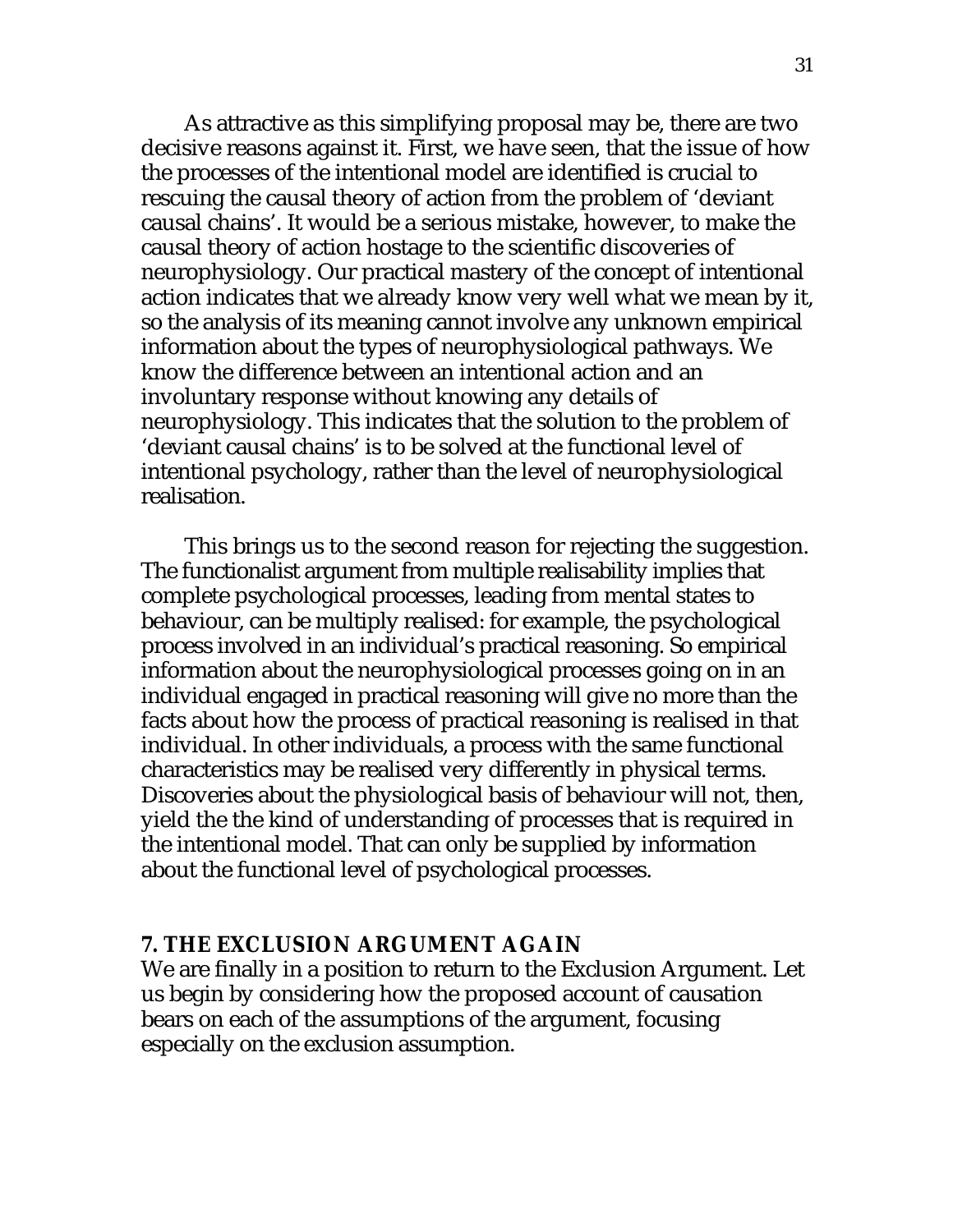As attractive as this simplifying proposal may be, there are two decisive reasons against it. First, we have seen, that the issue of how the processes of the intentional model are identified is crucial to rescuing the causal theory of action from the problem of 'deviant causal chains'. It would be a serious mistake, however, to make the causal theory of action hostage to the scientific discoveries of neurophysiology. Our practical mastery of the concept of intentional action indicates that we already know very well what we mean by it, so the analysis of its meaning cannot involve any unknown empirical information about the types of neurophysiological pathways. We know the difference between an intentional action and an involuntary response without knowing any details of neurophysiology. This indicates that the solution to the problem of 'deviant causal chains' is to be solved at the functional level of intentional psychology, rather than the level of neurophysiological realisation.

This brings us to the second reason for rejecting the suggestion. The functionalist argument from multiple realisability implies that complete psychological processes, leading from mental states to behaviour, can be multiply realised: for example, the psychological process involved in an individual's practical reasoning. So empirical information about the neurophysiological processes going on in an individual engaged in practical reasoning will give no more than the facts about how the process of practical reasoning is realised in that individual. In other individuals, a process with the same functional characteristics may be realised very differently in physical terms. Discoveries about the physiological basis of behaviour will not, then, yield the the kind of understanding of processes that is required in the intentional model. That can only be supplied by information about the functional level of psychological processes.

### **7. THE EXCLUSION ARGUMENT AGAIN**

We are finally in a position to return to the Exclusion Argument. Let us begin by considering how the proposed account of causation bears on each of the assumptions of the argument, focusing especially on the exclusion assumption.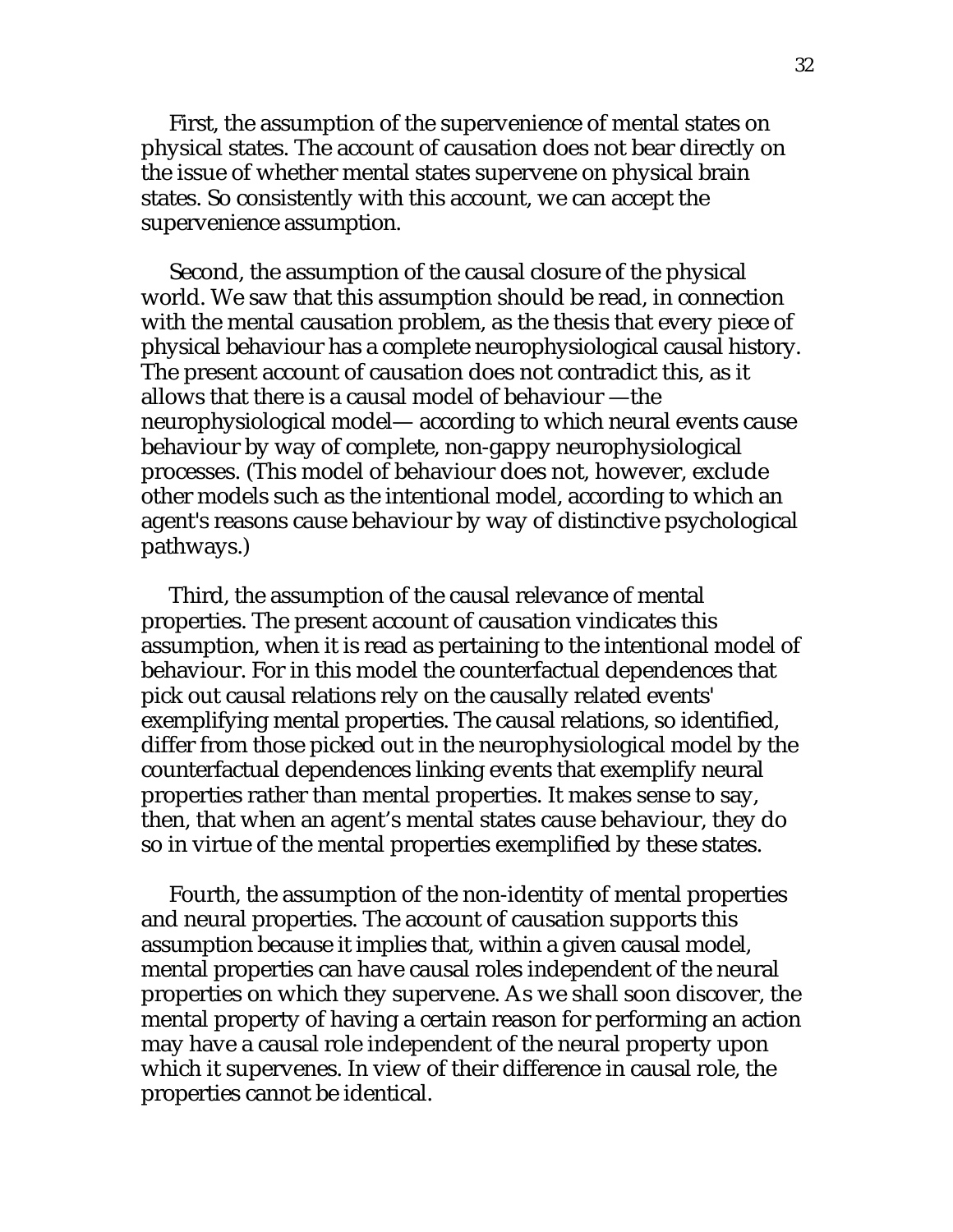First, the assumption of the supervenience of mental states on physical states. The account of causation does not bear directly on the issue of whether mental states supervene on physical brain states. So consistently with this account, we can accept the supervenience assumption.

Second, the assumption of the causal closure of the physical world. We saw that this assumption should be read, in connection with the mental causation problem, as the thesis that every piece of physical behaviour has a complete neurophysiological causal history. The present account of causation does not contradict this, as it allows that there is a causal model of behaviour —the neurophysiological model— according to which neural events cause behaviour by way of complete, non-gappy neurophysiological processes. (This model of behaviour does not, however, exclude other models such as the intentional model, according to which an agent's reasons cause behaviour by way of distinctive psychological pathways.)

Third, the assumption of the causal relevance of mental properties. The present account of causation vindicates this assumption, when it is read as pertaining to the intentional model of behaviour. For in this model the counterfactual dependences that pick out causal relations rely on the causally related events' exemplifying mental properties. The causal relations, so identified, differ from those picked out in the neurophysiological model by the counterfactual dependences linking events that exemplify neural properties rather than mental properties. It makes sense to say, then, that when an agent's mental states cause behaviour, they do so in virtue of the mental properties exemplified by these states.

Fourth, the assumption of the non-identity of mental properties and neural properties. The account of causation supports this assumption because it implies that, within a given causal model, mental properties can have causal roles independent of the neural properties on which they supervene. As we shall soon discover, the mental property of having a certain reason for performing an action may have a causal role independent of the neural property upon which it supervenes. In view of their difference in causal role, the properties cannot be identical.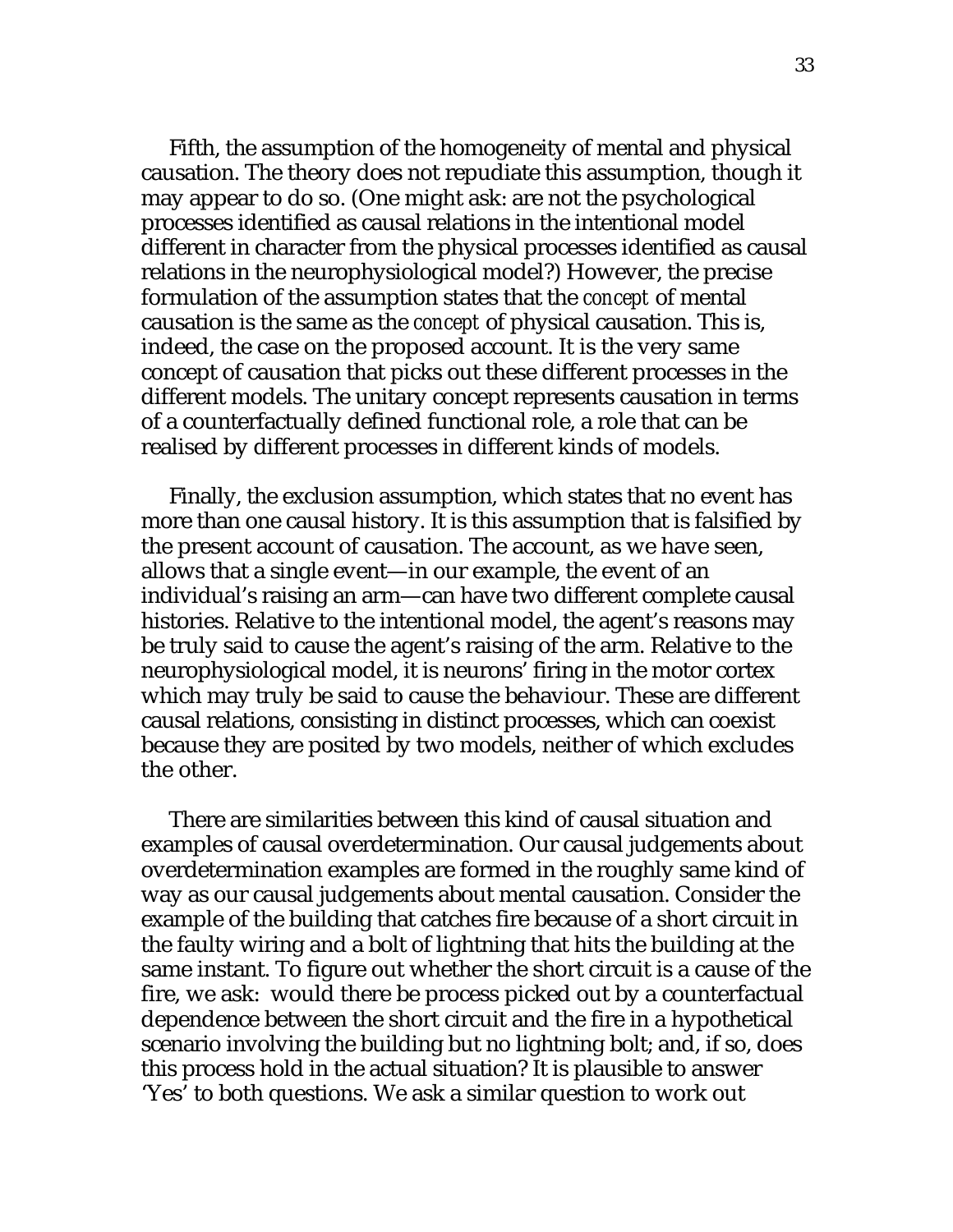Fifth, the assumption of the homogeneity of mental and physical causation. The theory does not repudiate this assumption, though it may appear to do so. (One might ask: are not the psychological processes identified as causal relations in the intentional model different in character from the physical processes identified as causal relations in the neurophysiological model?) However, the precise formulation of the assumption states that the *concept* of mental causation is the same as the *concept* of physical causation. This is, indeed, the case on the proposed account. It is the very same concept of causation that picks out these different processes in the different models. The unitary concept represents causation in terms of a counterfactually defined functional role, a role that can be realised by different processes in different kinds of models.

Finally, the exclusion assumption, which states that no event has more than one causal history. It is this assumption that is falsified by the present account of causation. The account, as we have seen, allows that a single event—in our example, the event of an individual's raising an arm—can have two different complete causal histories. Relative to the intentional model, the agent's reasons may be truly said to cause the agent's raising of the arm. Relative to the neurophysiological model, it is neurons' firing in the motor cortex which may truly be said to cause the behaviour. These are different causal relations, consisting in distinct processes, which can coexist because they are posited by two models, neither of which excludes the other.

There are similarities between this kind of causal situation and examples of causal overdetermination. Our causal judgements about overdetermination examples are formed in the roughly same kind of way as our causal judgements about mental causation. Consider the example of the building that catches fire because of a short circuit in the faulty wiring and a bolt of lightning that hits the building at the same instant. To figure out whether the short circuit is a cause of the fire, we ask: would there be process picked out by a counterfactual dependence between the short circuit and the fire in a hypothetical scenario involving the building but no lightning bolt; and, if so, does this process hold in the actual situation? It is plausible to answer 'Yes' to both questions. We ask a similar question to work out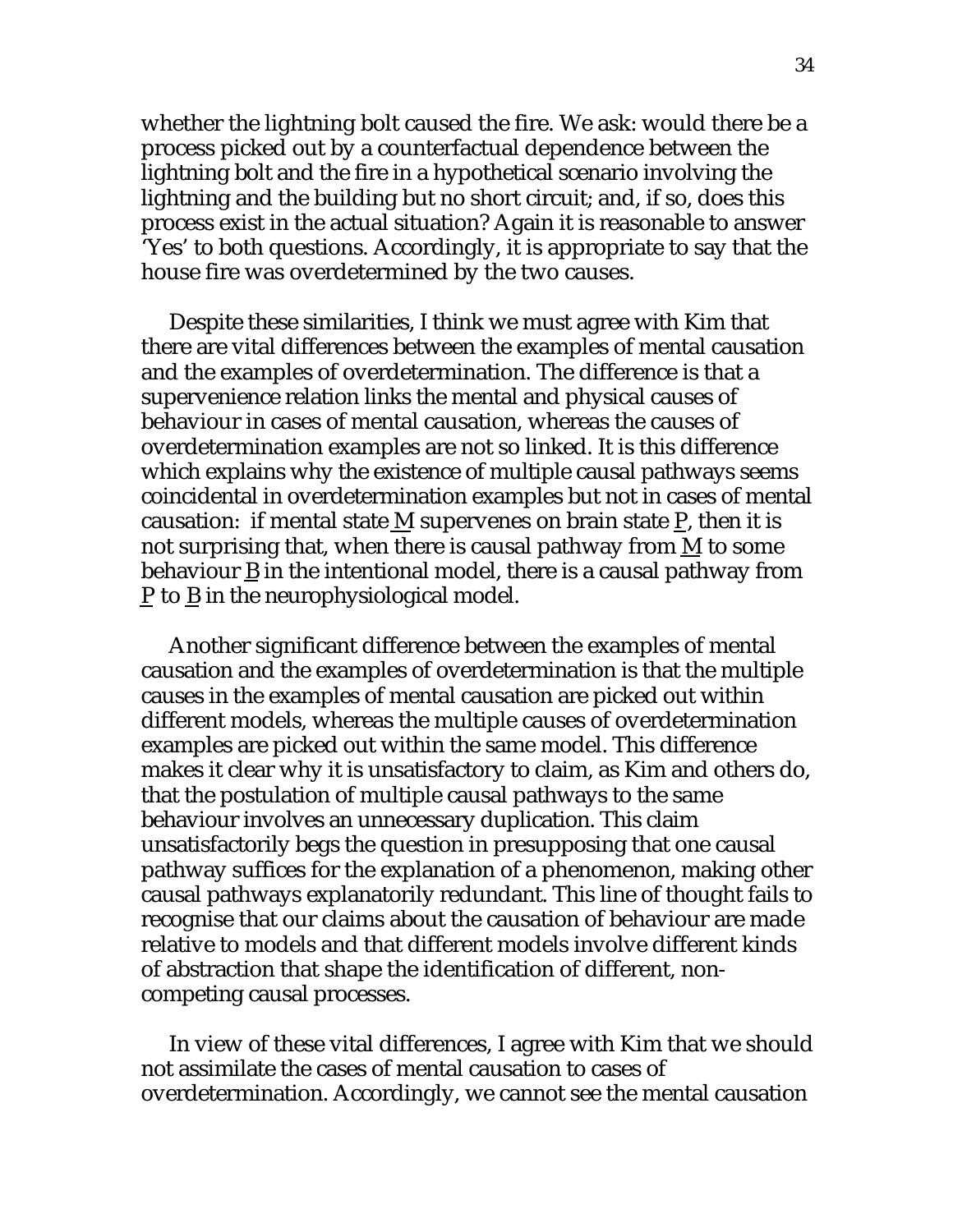whether the lightning bolt caused the fire. We ask: would there be a process picked out by a counterfactual dependence between the lightning bolt and the fire in a hypothetical scenario involving the lightning and the building but no short circuit; and, if so, does this process exist in the actual situation? Again it is reasonable to answer 'Yes' to both questions. Accordingly, it is appropriate to say that the house fire was overdetermined by the two causes.

Despite these similarities, I think we must agree with Kim that there are vital differences between the examples of mental causation and the examples of overdetermination. The difference is that a supervenience relation links the mental and physical causes of behaviour in cases of mental causation, whereas the causes of overdetermination examples are not so linked. It is this difference which explains why the existence of multiple causal pathways seems coincidental in overdetermination examples but not in cases of mental causation: if mental state  $M$  supervenes on brain state  $P$ , then it is not surprising that, when there is causal pathway from M to some behaviour  $\underline{B}$  in the intentional model, there is a causal pathway from  $\underline{P}$  to  $\underline{B}$  in the neurophysiological model.

Another significant difference between the examples of mental causation and the examples of overdetermination is that the multiple causes in the examples of mental causation are picked out within different models, whereas the multiple causes of overdetermination examples are picked out within the same model. This difference makes it clear why it is unsatisfactory to claim, as Kim and others do, that the postulation of multiple causal pathways to the same behaviour involves an unnecessary duplication. This claim unsatisfactorily begs the question in presupposing that one causal pathway suffices for the explanation of a phenomenon, making other causal pathways explanatorily redundant. This line of thought fails to recognise that our claims about the causation of behaviour are made relative to models and that different models involve different kinds of abstraction that shape the identification of different, noncompeting causal processes.

In view of these vital differences, I agree with Kim that we should not assimilate the cases of mental causation to cases of overdetermination. Accordingly, we cannot see the mental causation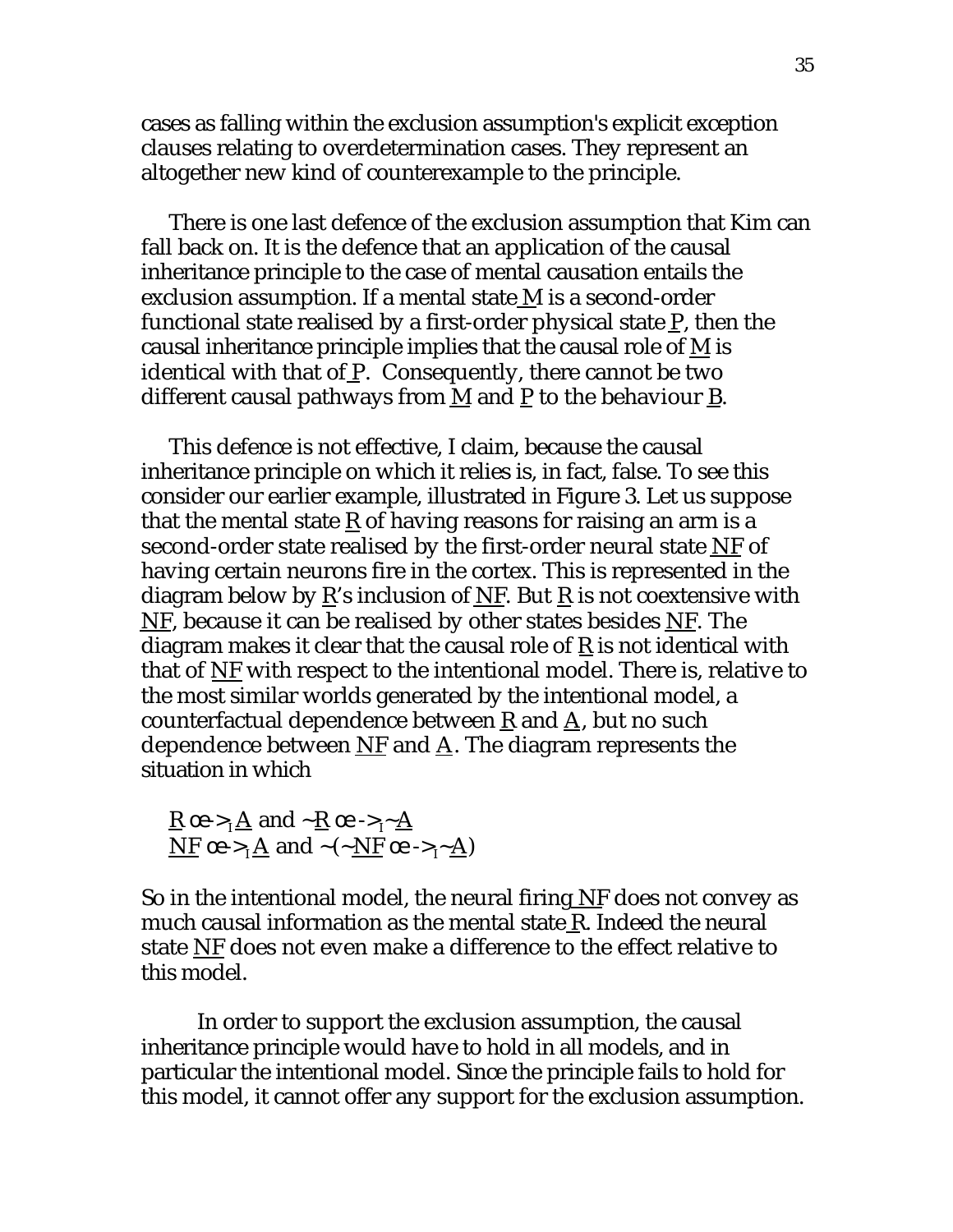cases as falling within the exclusion assumption's explicit exception clauses relating to overdetermination cases. They represent an altogether new kind of counterexample to the principle.

There is one last defence of the exclusion assumption that Kim can fall back on. It is the defence that an application of the causal inheritance principle to the case of mental causation entails the exclusion assumption. If a mental state  $M$  is a second-order functional state realised by a first-order physical state  $\underline{P}$ , then the causal inheritance principle implies that the causal role of  $\underline{M}$  is identical with that of  $P$ . Consequently, there cannot be two different causal pathways from  $\underline{M}$  and  $\underline{P}$  to the behaviour  $\underline{B}$ .

This defence is not effective, I claim, because the causal inheritance principle on which it relies is, in fact, false. To see this consider our earlier example, illustrated in Figure 3. Let us suppose that the mental state  $\underline{R}$  of having reasons for raising an arm is a second-order state realised by the first-order neural state NF of having certain neurons fire in the cortex. This is represented in the diagram below by  $\mathbb{R}^n$ 's inclusion of NF. But  $\mathbb{R}^n$  is not coextensive with  $N$ F, because it can be realised by other states besides  $N$ F. The diagram makes it clear that the causal role of  $\underline{R}$  is not identical with that of NF with respect to the intentional model. There is, relative to the most similar worlds generated by the intentional model, a counterfactual dependence between  $\underline{R}$  and  $\underline{A}$ , but no such dependence between  $N_{\text{F}}$  and  $\Delta$ . The diagram represents the situation in which

 $R \propto \rightarrow R$  and  $\sim R \propto \rightarrow R$ NF  $\alpha \rightarrow A$  and  $\sim$  ( $\sim$ NF  $\alpha \rightarrow \sim_A$ A)

So in the intentional model, the neural firing NF does not convey as much causal information as the mental state  $\mathbb{R}$ . Indeed the neural state NF does not even make a difference to the effect relative to this model.

In order to support the exclusion assumption, the causal inheritance principle would have to hold in all models, and in particular the intentional model. Since the principle fails to hold for this model, it cannot offer any support for the exclusion assumption.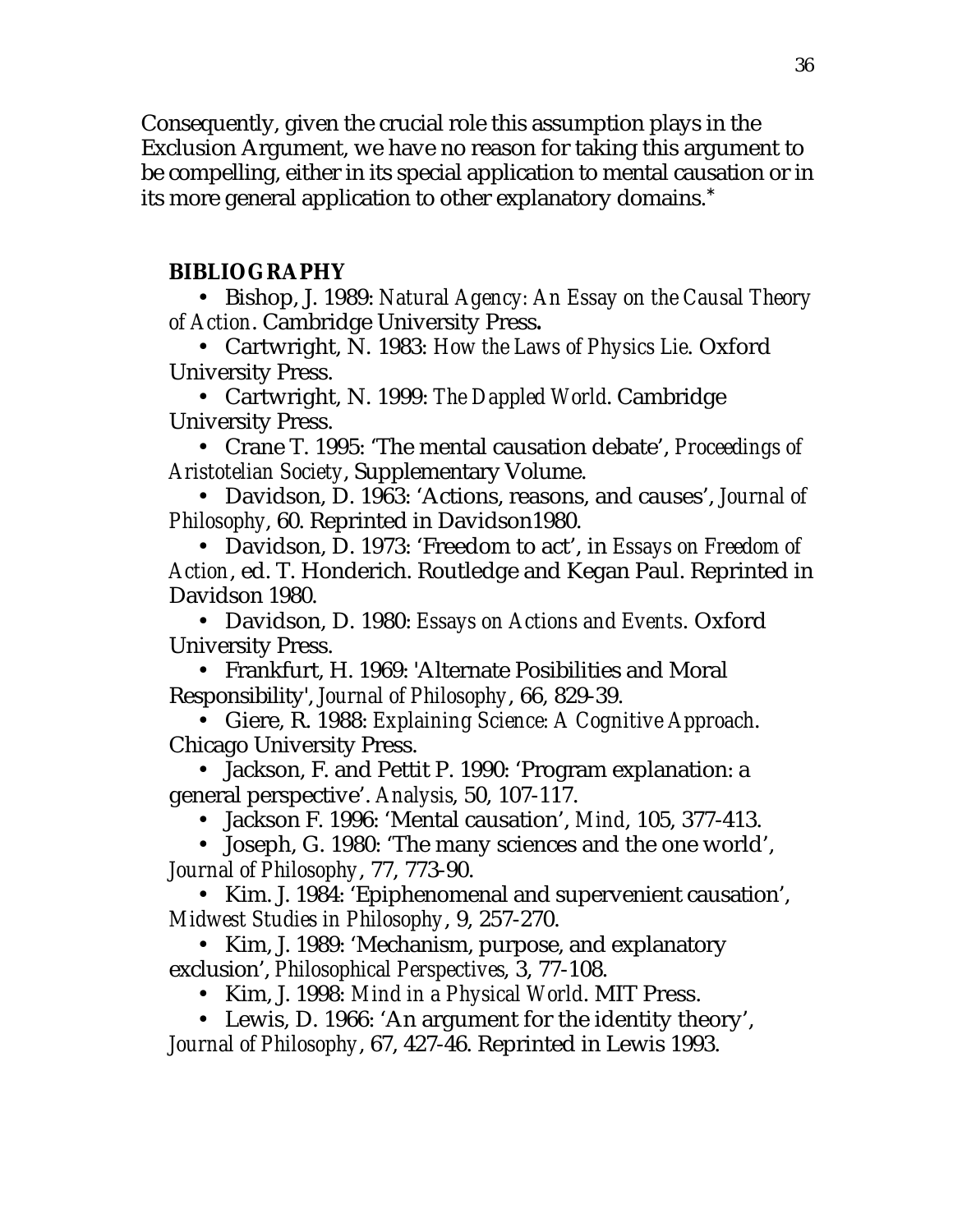Consequently, given the crucial role this assumption plays in the Exclusion Argument, we have no reason for taking this argument to be compelling, either in its special application to mental causation or in its more general application to other explanatory domains.

# **BIBLIOGRAPHY**

• Bishop, J. 1989: *Natural Agency: An Essay on the Causal Theory of Action*. Cambridge University Press**.**

• Cartwright, N. 1983: *How the Laws of Physics Lie*. Oxford University Press.

• Cartwright, N. 1999: *The Dappled World*. Cambridge University Press.

• Crane T. 1995: 'The mental causation debate', *Proceedings of Aristotelian Society*, Supplementary Volume.

• Davidson, D. 1963: 'Actions, reasons, and causes', *Journal of Philosophy*, 60. Reprinted in Davidson1980.

• Davidson, D. 1973: 'Freedom to act', in *Essays on Freedom of Action*, ed. T. Honderich. Routledge and Kegan Paul. Reprinted in Davidson 1980.

• Davidson, D. 1980: *Essays on Actions and Events*. Oxford University Press.

• Frankfurt, H. 1969: 'Alternate Posibilities and Moral Responsibility', *Journal of Philosophy*, 66, 829-39.

• Giere, R. 1988: *Explaining Science: A Cognitive Approach*. Chicago University Press.

• Jackson, F. and Pettit P. 1990: 'Program explanation: a general perspective'. *Analysis*, 50, 107-117.

• Jackson F. 1996: 'Mental causation', *Mind*, 105, 377-413.

• Joseph, G. 1980: 'The many sciences and the one world', *Journal of Philosophy*, 77, 773-90.

• Kim. J. 1984: 'Epiphenomenal and supervenient causation', *Midwest Studies in Philosophy*, 9, 257-270.

• Kim, J. 1989: 'Mechanism, purpose, and explanatory exclusion', *Philosophical Perspectives*, 3, 77-108.

• Kim, J. 1998: *Mind in a Physical World*. MIT Press.

• Lewis, D. 1966: 'An argument for the identity theory', *Journal of Philosophy*, 67, 427-46. Reprinted in Lewis 1993.